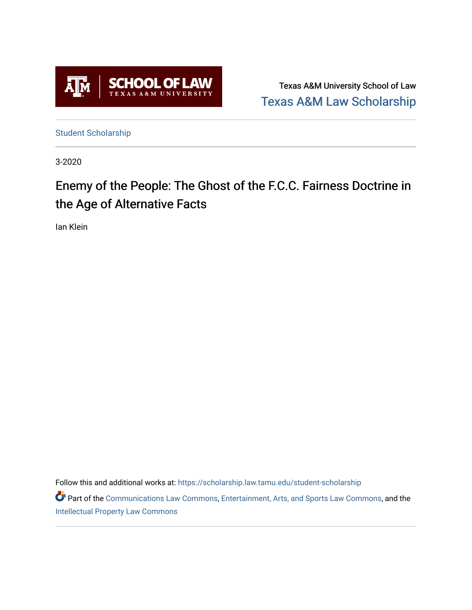

Texas A&M University School of Law [Texas A&M Law Scholarship](https://scholarship.law.tamu.edu/) 

[Student Scholarship](https://scholarship.law.tamu.edu/student-scholarship)

3-2020

# Enemy of the People: The Ghost of the F.C.C. Fairness Doctrine in the Age of Alternative Facts

Ian Klein

Follow this and additional works at: [https://scholarship.law.tamu.edu/student-scholarship](https://scholarship.law.tamu.edu/student-scholarship?utm_source=scholarship.law.tamu.edu%2Fstudent-scholarship%2F36&utm_medium=PDF&utm_campaign=PDFCoverPages) 

Part of the [Communications Law Commons,](https://network.bepress.com/hgg/discipline/587?utm_source=scholarship.law.tamu.edu%2Fstudent-scholarship%2F36&utm_medium=PDF&utm_campaign=PDFCoverPages) [Entertainment, Arts, and Sports Law Commons](https://network.bepress.com/hgg/discipline/893?utm_source=scholarship.law.tamu.edu%2Fstudent-scholarship%2F36&utm_medium=PDF&utm_campaign=PDFCoverPages), and the [Intellectual Property Law Commons](https://network.bepress.com/hgg/discipline/896?utm_source=scholarship.law.tamu.edu%2Fstudent-scholarship%2F36&utm_medium=PDF&utm_campaign=PDFCoverPages)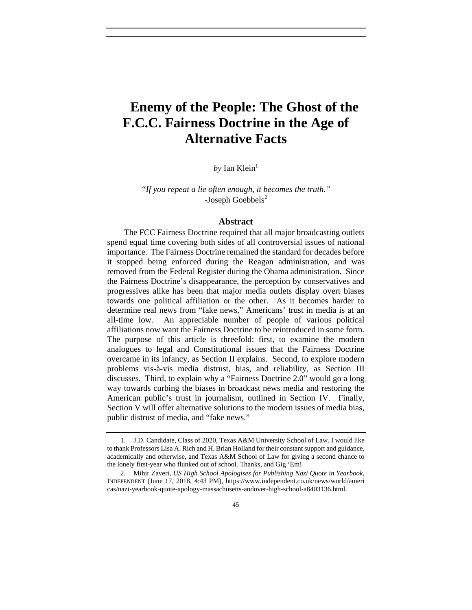## **Enemy of the People: The Ghost of the F.C.C. Fairness Doctrine in the Age of Alternative Facts**

 $by$  Ian Klein<sup>1</sup>

*"If you repeat a lie often enough, it becomes the truth."* -Joseph Goebbels<sup>2</sup>

#### **Abstract**

The FCC Fairness Doctrine required that all major broadcasting outlets spend equal time covering both sides of all controversial issues of national importance. The Fairness Doctrine remained the standard for decades before it stopped being enforced during the Reagan administration, and was removed from the Federal Register during the Obama administration. Since the Fairness Doctrine's disappearance, the perception by conservatives and progressives alike has been that major media outlets display overt biases towards one political affiliation or the other. As it becomes harder to determine real news from "fake news," Americans' trust in media is at an all-time low. An appreciable number of people of various political affiliations now want the Fairness Doctrine to be reintroduced in some form. The purpose of this article is threefold: first, to examine the modern analogues to legal and Constitutional issues that the Fairness Doctrine overcame in its infancy, as Section II explains. Second, to explore modern problems vis-à-vis media distrust, bias, and reliability, as Section III discusses. Third, to explain why a "Fairness Doctrine 2.0" would go a long way towards curbing the biases in broadcast news media and restoring the American public's trust in journalism, outlined in Section IV. Finally, Section V will offer alternative solutions to the modern issues of media bias, public distrust of media, and "fake news."

 <sup>1.</sup> J.D. Candidate, Class of 2020, Texas A&M University School of Law. I would like to thank Professors Lisa A. Rich and H. Brian Holland for their constant support and guidance, academically and otherwise, and Texas A&M School of Law for giving a second chance to the lonely first-year who flunked out of school. Thanks, and Gig 'Em!

 <sup>2.</sup> Mihir Zaveri, *US High School Apologises for Publishing Nazi Quote in Yearbook*, INDEPENDENT (June 17, 2018, 4:43 PM), https://www.independent.co.uk/news/world/ameri cas/nazi-yearbook-quote-apology-massachusetts-andover-high-school-a8403136.html.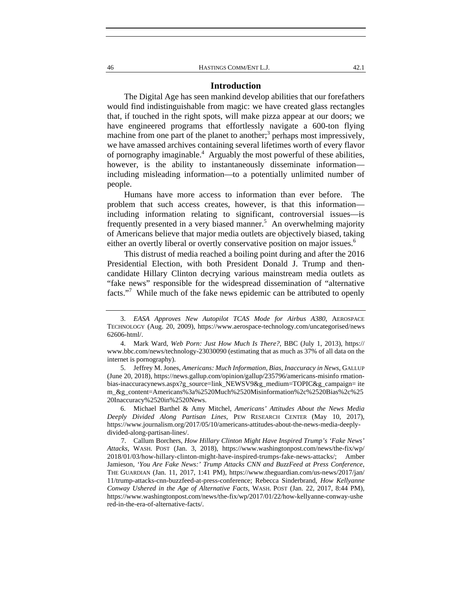#### **Introduction**

The Digital Age has seen mankind develop abilities that our forefathers would find indistinguishable from magic: we have created glass rectangles that, if touched in the right spots, will make pizza appear at our doors; we have engineered programs that effortlessly navigate a 600-ton flying machine from one part of the planet to another;<sup>3</sup> perhaps most impressively, we have amassed archives containing several lifetimes worth of every flavor of pornography imaginable.<sup>4</sup> Arguably the most powerful of these abilities, however, is the ability to instantaneously disseminate information including misleading information—to a potentially unlimited number of people.

Humans have more access to information than ever before. The problem that such access creates, however, is that this information including information relating to significant, controversial issues—is frequently presented in a very biased manner.<sup>5</sup> An overwhelming majority of Americans believe that major media outlets are objectively biased, taking either an overtly liberal or overtly conservative position on major issues.<sup>6</sup>

This distrust of media reached a boiling point during and after the 2016 Presidential Election, with both President Donald J. Trump and thencandidate Hillary Clinton decrying various mainstream media outlets as "fake news" responsible for the widespread dissemination of "alternative facts."<sup>7</sup> While much of the fake news epidemic can be attributed to openly

 <sup>3.</sup> *EASA Approves New Autopilot TCAS Mode for Airbus A380*, AEROSPACE TECHNOLOGY (Aug. 20, 2009), https://www.aerospace-technology.com/uncategorised/news 62606-html/.

 <sup>4.</sup> Mark Ward, *Web Porn: Just How Much Is There?*, BBC (July 1, 2013), https:// www.bbc.com/news/technology-23030090 (estimating that as much as 37% of all data on the internet is pornography).

 <sup>5.</sup> Jeffrey M. Jones, *Americans: Much Information, Bias, Inaccuracy in News*, GALLUP (June 20, 2018), https://news.gallup.com/opinion/gallup/235796/americans-misinfo rmationbias-inaccuracynews.aspx?g\_source=link\_NEWSV9&g\_medium=TOPIC&g\_campaign= ite m\_&g\_content=Americans%3a%2520Much%2520Misinformation%2c%2520Bias%2c%25 20Inaccuracy%2520in%2520News.

 <sup>6.</sup> Michael Barthel & Amy Mitchel, *Americans' Attitudes About the News Media Deeply Divided Along Partisan Lines,* PEW RESEARCH CENTER (May 10, 2017), https://www.journalism.org/2017/05/10/americans-attitudes-about-the-news-media-deeplydivided-along-partisan-lines/.

 <sup>7.</sup> Callum Borchers, *How Hillary Clinton Might Have Inspired Trump's 'Fake News' Attacks*, WASH. POST (Jan. 3, 2018), https://www.washingtonpost.com/news/the-fix/wp/ 2018/01/03/how-hillary-clinton-might-have-inspired-trumps-fake-news-attacks/; Amber Jamieson, *'You Are Fake News:' Trump Attacks CNN and BuzzFeed at Press Conference*, THE GUARDIAN (Jan. 11, 2017, 1:41 PM), https://www.theguardian.com/us-news/2017/jan/ 11/trump-attacks-cnn-buzzfeed-at-press-conference; Rebecca Sinderbrand, *How Kellyanne Conway Ushered in the Age of Alternative Facts*, WASH. POST (Jan. 22, 2017, 8:44 PM), https://www.washingtonpost.com/news/the-fix/wp/2017/01/22/how-kellyanne-conway-ushe red-in-the-era-of-alternative-facts/.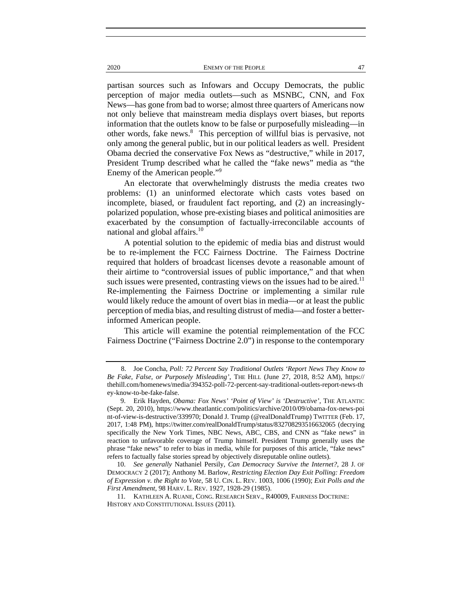2020 ENEMY OF THE PEOPLE 47

partisan sources such as Infowars and Occupy Democrats, the public perception of major media outlets—such as MSNBC, CNN, and Fox News—has gone from bad to worse; almost three quarters of Americans now not only believe that mainstream media displays overt biases, but reports information that the outlets know to be false or purposefully misleading—in other words, fake news.<sup>8</sup> This perception of willful bias is pervasive, not only among the general public, but in our political leaders as well. President Obama decried the conservative Fox News as "destructive," while in 2017, President Trump described what he called the "fake news" media as "the Enemy of the American people."<sup>9</sup>

An electorate that overwhelmingly distrusts the media creates two problems: (1) an uninformed electorate which casts votes based on incomplete, biased, or fraudulent fact reporting, and (2) an increasinglypolarized population, whose pre-existing biases and political animosities are exacerbated by the consumption of factually-irreconcilable accounts of national and global affairs.<sup>10</sup>

A potential solution to the epidemic of media bias and distrust would be to re-implement the FCC Fairness Doctrine. The Fairness Doctrine required that holders of broadcast licenses devote a reasonable amount of their airtime to "controversial issues of public importance," and that when such issues were presented, contrasting views on the issues had to be aired.<sup>11</sup> Re-implementing the Fairness Doctrine or implementing a similar rule would likely reduce the amount of overt bias in media—or at least the public perception of media bias, and resulting distrust of media—and foster a betterinformed American people.

This article will examine the potential reimplementation of the FCC Fairness Doctrine ("Fairness Doctrine 2.0") in response to the contemporary

 <sup>8.</sup> Joe Concha, *Poll: 72 Percent Say Traditional Outlets 'Report News They Know to Be Fake, False, or Purposely Misleading'*, THE HILL (June 27, 2018, 8:52 AM), https:// thehill.com/homenews/media/394352-poll-72-percent-say-traditional-outlets-report-news-th ey-know-to-be-fake-false.

 <sup>9.</sup> Erik Hayden, *Obama: Fox News' 'Point of View' is 'Destructive'*, THE ATLANTIC (Sept. 20, 2010), https://www.theatlantic.com/politics/archive/2010/09/obama-fox-news-poi nt-of-view-is-destructive/339970; Donald J. Trump (@realDonaldTrump) TWITTER (Feb. 17, 2017, 1:48 PM), https://twitter.com/realDonaldTrump/status/832708293516632065 (decrying specifically the New York Times, NBC News, ABC, CBS, and CNN as "fake news" in reaction to unfavorable coverage of Trump himself. President Trump generally uses the phrase "fake news" to refer to bias in media, while for purposes of this article, "fake news" refers to factually false stories spread by objectively disreputable online outlets).

 <sup>10.</sup> *See generally* Nathaniel Persily, *Can Democracy Survive the Internet?*, 28 J. OF DEMOCRACY 2 (2017); Anthony M. Barlow, *Restricting Election Day Exit Polling: Freedom of Expression v. the Right to Vote*, 58 U. CIN. L. REV. 1003, 1006 (1990); *Exit Polls and the First Amendment*, 98 HARV. L. REV. 1927, 1928-29 (1985).

<sup>11</sup>*.* KATHLEEN A. RUANE*,* CONG. RESEARCH SERV., R40009, FAIRNESS DOCTRINE: HISTORY AND CONSTITUTIONAL ISSUES (2011).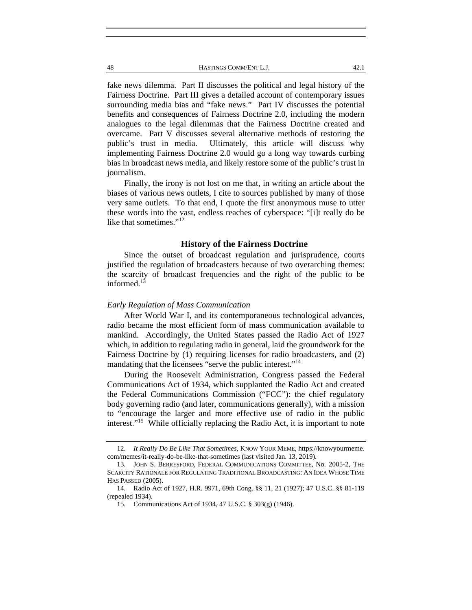48 HASTINGS COMM/ENT L.J. 42.1

fake news dilemma. Part II discusses the political and legal history of the Fairness Doctrine. Part III gives a detailed account of contemporary issues surrounding media bias and "fake news." Part IV discusses the potential benefits and consequences of Fairness Doctrine 2.0, including the modern analogues to the legal dilemmas that the Fairness Doctrine created and overcame. Part V discusses several alternative methods of restoring the public's trust in media. Ultimately, this article will discuss why implementing Fairness Doctrine 2.0 would go a long way towards curbing bias in broadcast news media, and likely restore some of the public's trust in journalism.

Finally, the irony is not lost on me that, in writing an article about the biases of various news outlets, I cite to sources published by many of those very same outlets. To that end, I quote the first anonymous muse to utter these words into the vast, endless reaches of cyberspace: "[i]t really do be like that sometimes."<sup>12</sup>

## **History of the Fairness Doctrine**

Since the outset of broadcast regulation and jurisprudence, courts justified the regulation of broadcasters because of two overarching themes: the scarcity of broadcast frequencies and the right of the public to be informed. $13$ 

## *Early Regulation of Mass Communication*

After World War I, and its contemporaneous technological advances, radio became the most efficient form of mass communication available to mankind. Accordingly, the United States passed the Radio Act of 1927 which, in addition to regulating radio in general, laid the groundwork for the Fairness Doctrine by (1) requiring licenses for radio broadcasters, and (2) mandating that the licensees "serve the public interest."<sup>14</sup>

During the Roosevelt Administration, Congress passed the Federal Communications Act of 1934, which supplanted the Radio Act and created the Federal Communications Commission ("FCC"): the chief regulatory body governing radio (and later, communications generally), with a mission to "encourage the larger and more effective use of radio in the public interest."15 While officially replacing the Radio Act, it is important to note

 <sup>12.</sup> *It Really Do Be Like That Sometimes*, KNOW YOUR MEME, https://knowyourmeme. com/memes/it-really-do-be-like-that-sometimes (last visited Jan. 13, 2019).

 <sup>13.</sup> JOHN S. BERRESFORD, FEDERAL COMMUNICATIONS COMMITTEE, No. 2005-2, THE SCARCITY RATIONALE FOR REGULATING TRADITIONAL BROADCASTING: AN IDEA WHOSE TIME HAS PASSED (2005).

 <sup>14.</sup> Radio Act of 1927, H.R. 9971, 69th Cong. §§ 11, 21 (1927); 47 U.S.C. §§ 81-119 (repealed 1934).

 <sup>15.</sup> Communications Act of 1934, 47 U.S.C. § 303(g) (1946).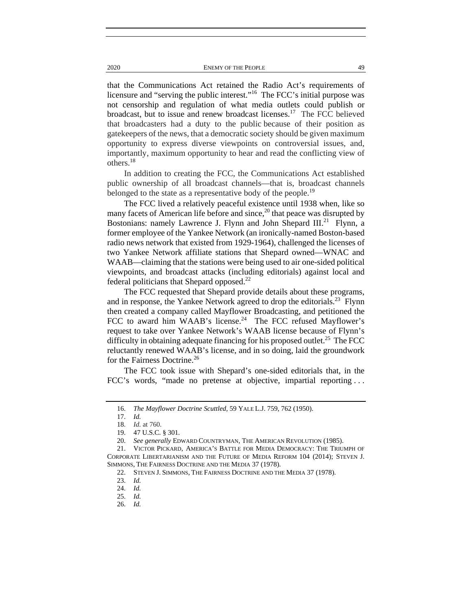2020 ENEMY OF THE PEOPLE 49

that the Communications Act retained the Radio Act's requirements of licensure and "serving the public interest."<sup>16</sup> The FCC's initial purpose was not censorship and regulation of what media outlets could publish or broadcast, but to issue and renew broadcast licenses.<sup>17</sup> The FCC believed that broadcasters had a duty to the public because of their position as gatekeepers of the news, that a democratic society should be given maximum opportunity to express diverse viewpoints on controversial issues, and, importantly, maximum opportunity to hear and read the conflicting view of others.<sup>18</sup>

In addition to creating the FCC, the Communications Act established public ownership of all broadcast channels—that is, broadcast channels belonged to the state as a representative body of the people.<sup>19</sup>

The FCC lived a relatively peaceful existence until 1938 when, like so many facets of American life before and since, $^{20}$  that peace was disrupted by Bostonians: namely Lawrence J. Flynn and John Shepard III.<sup>21</sup> Flynn, a former employee of the Yankee Network (an ironically-named Boston-based radio news network that existed from 1929-1964), challenged the licenses of two Yankee Network affiliate stations that Shepard owned—WNAC and WAAB—claiming that the stations were being used to air one-sided political viewpoints, and broadcast attacks (including editorials) against local and federal politicians that Shepard opposed. $^{22}$ 

The FCC requested that Shepard provide details about these programs, and in response, the Yankee Network agreed to drop the editorials.<sup>23</sup> Flynn then created a company called Mayflower Broadcasting, and petitioned the FCC to award him WAAB's license.<sup>24</sup> The FCC refused Mayflower's request to take over Yankee Network's WAAB license because of Flynn's difficulty in obtaining adequate financing for his proposed outlet.<sup>25</sup> The FCC reluctantly renewed WAAB's license, and in so doing, laid the groundwork for the Fairness Doctrine.<sup>26</sup>

The FCC took issue with Shepard's one-sided editorials that, in the FCC's words, "made no pretense at objective, impartial reporting . . .

 21. VICTOR PICKARD, AMERICA'S BATTLE FOR MEDIA DEMOCRACY: THE TRIUMPH OF CORPORATE LIBERTARIANISM AND THE FUTURE OF MEDIA REFORM 104 (2014); STEVEN J. SIMMONS, THE FAIRNESS DOCTRINE AND THE MEDIA 37 (1978).

 <sup>16.</sup> *The Mayflower Doctrine Scuttled*, 59 YALE L.J. 759, 762 (1950).

 <sup>17.</sup> *Id.*

<sup>18.</sup> *Id.* at 760.

 <sup>19. 47</sup> U.S.C. § 301.

 <sup>20.</sup> *See generally* EDWARD COUNTRYMAN, THE AMERICAN REVOLUTION (1985).

 <sup>22.</sup> STEVEN J. SIMMONS, THE FAIRNESS DOCTRINE AND THE MEDIA 37 (1978).

 <sup>23.</sup> *Id.*

 <sup>24.</sup> *Id.* 

 <sup>25.</sup> *Id.*

 <sup>26.</sup> *Id.*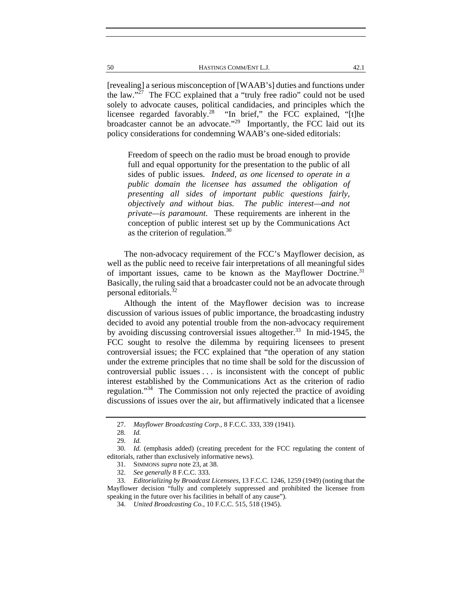| 50 | HASTINGS COMM/ENT L.J. |  |
|----|------------------------|--|
|    |                        |  |

[revealing] a serious misconception of [WAAB's] duties and functions under the law."27 The FCC explained that a "truly free radio" could not be used solely to advocate causes, political candidacies, and principles which the licensee regarded favorably.<sup>28</sup> "In brief," the FCC explained, "[t]he broadcaster cannot be an advocate."<sup>29</sup> Importantly, the FCC laid out its policy considerations for condemning WAAB's one-sided editorials:

Freedom of speech on the radio must be broad enough to provide full and equal opportunity for the presentation to the public of all sides of public issues. *Indeed, as one licensed to operate in a public domain the licensee has assumed the obligation of presenting all sides of important public questions fairly, objectively and without bias. The public interest—and not private—is paramount*. These requirements are inherent in the conception of public interest set up by the Communications Act as the criterion of regulation.30

The non-advocacy requirement of the FCC's Mayflower decision, as well as the public need to receive fair interpretations of all meaningful sides of important issues, came to be known as the Mayflower Doctrine.<sup>31</sup> Basically, the ruling said that a broadcaster could not be an advocate through personal editorials.<sup>32</sup>

Although the intent of the Mayflower decision was to increase discussion of various issues of public importance, the broadcasting industry decided to avoid any potential trouble from the non-advocacy requirement by avoiding discussing controversial issues altogether.<sup>33</sup> In mid-1945, the FCC sought to resolve the dilemma by requiring licensees to present controversial issues; the FCC explained that "the operation of any station under the extreme principles that no time shall be sold for the discussion of controversial public issues . . . is inconsistent with the concept of public interest established by the Communications Act as the criterion of radio regulation."34 The Commission not only rejected the practice of avoiding discussions of issues over the air, but affirmatively indicated that a licensee

 <sup>27.</sup> *Mayflower Broadcasting Corp.*, 8 F.C.C. 333, 339 (1941).

 <sup>28.</sup> *Id.*

 <sup>29.</sup> *Id.*

 <sup>30.</sup> *Id.* (emphasis added) (creating precedent for the FCC regulating the content of editorials, rather than exclusively informative news).

 <sup>31.</sup> SIMMONS *supra* note 23, at 38.

 <sup>32.</sup> *See generally* 8 F.C.C. 333.

 <sup>33.</sup> *Editorializing by Broadcast Licensees*, 13 F.C.C. 1246, 1259 (1949) (noting that the Mayflower decision "fully and completely suppressed and prohibited the licensee from speaking in the future over his facilities in behalf of any cause").

 <sup>34.</sup> *United Broadcasting Co.*, 10 F.C.C. 515, 518 (1945).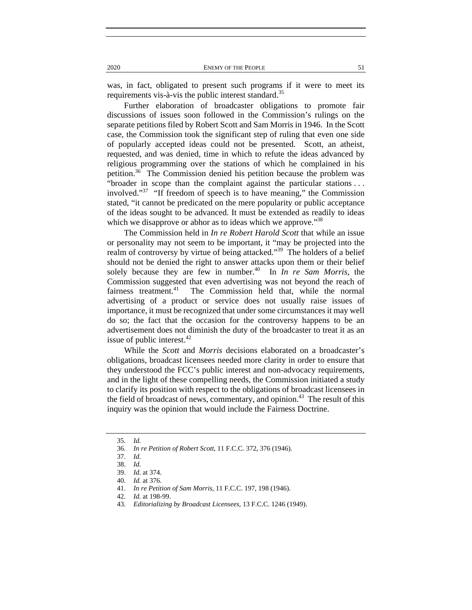was, in fact, obligated to present such programs if it were to meet its requirements vis-à-vis the public interest standard.<sup>35</sup>

Further elaboration of broadcaster obligations to promote fair discussions of issues soon followed in the Commission's rulings on the separate petitions filed by Robert Scott and Sam Morris in 1946. In the Scott case, the Commission took the significant step of ruling that even one side of popularly accepted ideas could not be presented. Scott, an atheist, requested, and was denied, time in which to refute the ideas advanced by religious programming over the stations of which he complained in his petition.36 The Commission denied his petition because the problem was "broader in scope than the complaint against the particular stations ... involved."37 "If freedom of speech is to have meaning," the Commission stated, "it cannot be predicated on the mere popularity or public acceptance of the ideas sought to be advanced. It must be extended as readily to ideas which we disapprove or abhor as to ideas which we approve."<sup>38</sup>

The Commission held in *In re Robert Harold Scott* that while an issue or personality may not seem to be important, it "may be projected into the realm of controversy by virtue of being attacked."<sup>39</sup> The holders of a belief should not be denied the right to answer attacks upon them or their belief solely because they are few in number.<sup>40</sup> In  $\overline{In}$  *in re Sam Morris*, the Commission suggested that even advertising was not beyond the reach of fairness treatment.<sup>41</sup> The Commission held that, while the normal advertising of a product or service does not usually raise issues of importance, it must be recognized that under some circumstances it may well do so; the fact that the occasion for the controversy happens to be an advertisement does not diminish the duty of the broadcaster to treat it as an issue of public interest.<sup>42</sup>

While the *Scott* and *Morris* decisions elaborated on a broadcaster's obligations, broadcast licensees needed more clarity in order to ensure that they understood the FCC's public interest and non-advocacy requirements, and in the light of these compelling needs, the Commission initiated a study to clarify its position with respect to the obligations of broadcast licensees in the field of broadcast of news, commentary, and opinion. $43$  The result of this inquiry was the opinion that would include the Fairness Doctrine.

 <sup>35.</sup> *Id.*

 <sup>36.</sup> *In re Petition of Robert Scott*, 11 F.C.C. 372, 376 (1946).

 <sup>37.</sup> *Id.*

 <sup>38.</sup> *Id.*

 <sup>39.</sup> *Id.* at 374.

 <sup>40.</sup> *Id.* at 376.

 <sup>41.</sup> *In re Petition of Sam Morris*, 11 F.C.C. 197, 198 (1946).

 <sup>42.</sup> *Id.* at 198-99.

 <sup>43.</sup> *Editorializing by Broadcast Licensees*, 13 F.C.C. 1246 (1949).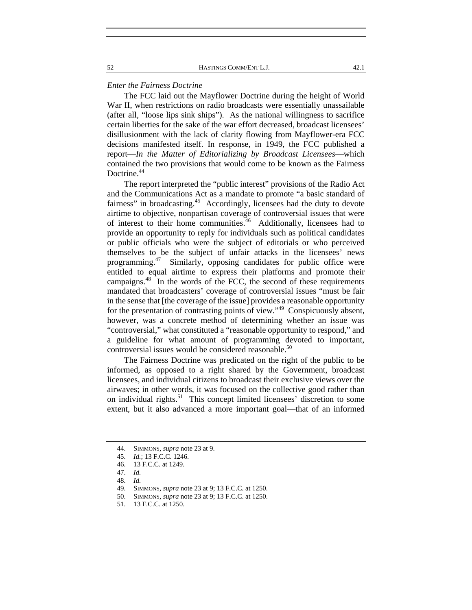#### *Enter the Fairness Doctrine*

The FCC laid out the Mayflower Doctrine during the height of World War II, when restrictions on radio broadcasts were essentially unassailable (after all, "loose lips sink ships"). As the national willingness to sacrifice certain liberties for the sake of the war effort decreased, broadcast licensees' disillusionment with the lack of clarity flowing from Mayflower-era FCC decisions manifested itself. In response, in 1949, the FCC published a report—*In the Matter of Editorializing by Broadcast Licensees*—which contained the two provisions that would come to be known as the Fairness Doctrine.<sup>44</sup>

The report interpreted the "public interest" provisions of the Radio Act and the Communications Act as a mandate to promote "a basic standard of fairness" in broadcasting.<sup>45</sup> Accordingly, licensees had the duty to devote airtime to objective, nonpartisan coverage of controversial issues that were of interest to their home communities.<sup>46</sup> Additionally, licensees had to provide an opportunity to reply for individuals such as political candidates or public officials who were the subject of editorials or who perceived themselves to be the subject of unfair attacks in the licensees' news programming.<sup>47</sup> Similarly, opposing candidates for public office were entitled to equal airtime to express their platforms and promote their campaigns. $48$  In the words of the FCC, the second of these requirements mandated that broadcasters' coverage of controversial issues "must be fair in the sense that [the coverage of the issue] provides a reasonable opportunity for the presentation of contrasting points of view."49 Conspicuously absent, however, was a concrete method of determining whether an issue was "controversial," what constituted a "reasonable opportunity to respond," and a guideline for what amount of programming devoted to important, controversial issues would be considered reasonable.<sup>50</sup>

The Fairness Doctrine was predicated on the right of the public to be informed, as opposed to a right shared by the Government, broadcast licensees, and individual citizens to broadcast their exclusive views over the airwaves; in other words, it was focused on the collective good rather than on individual rights.<sup>51</sup> This concept limited licensees' discretion to some extent, but it also advanced a more important goal—that of an informed

 <sup>44.</sup> SIMMONS, *supra* note 23 at 9.

 <sup>45.</sup> *Id.*; 13 F.C.C. 1246.

 <sup>46. 13</sup> F.C.C. at 1249.

 <sup>47.</sup> *Id.*

 <sup>48.</sup> *Id.*

 <sup>49.</sup> SIMMONS, *supra* note 23 at 9; 13 F.C.C. at 1250.

 <sup>50.</sup> SIMMONS, *supra* note 23 at 9; 13 F.C.C. at 1250.

 <sup>51. 13</sup> F.C.C. at 1250.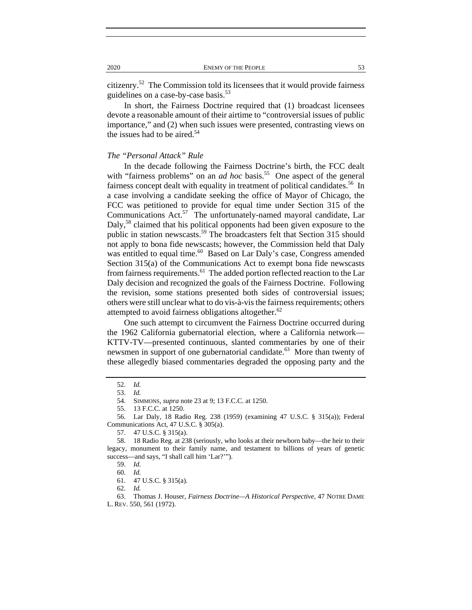citizenry. $52$  The Commission told its licensees that it would provide fairness guidelines on a case-by-case basis.<sup>53</sup>

In short, the Fairness Doctrine required that (1) broadcast licensees devote a reasonable amount of their airtime to "controversial issues of public importance," and (2) when such issues were presented, contrasting views on the issues had to be aired.<sup>54</sup>

## *The "Personal Attack" Rule*

In the decade following the Fairness Doctrine's birth, the FCC dealt with "fairness problems" on an *ad hoc* basis.<sup>55</sup> One aspect of the general fairness concept dealt with equality in treatment of political candidates.<sup>56</sup> In a case involving a candidate seeking the office of Mayor of Chicago, the FCC was petitioned to provide for equal time under Section 315 of the Communications Act.<sup>57</sup> The unfortunately-named mayoral candidate, Lar Daly,<sup>58</sup> claimed that his political opponents had been given exposure to the public in station newscasts.<sup>59</sup> The broadcasters felt that Section 315 should not apply to bona fide newscasts; however, the Commission held that Daly was entitled to equal time.<sup>60</sup> Based on Lar Daly's case, Congress amended Section 315(a) of the Communications Act to exempt bona fide newscasts from fairness requirements.<sup>61</sup> The added portion reflected reaction to the Lar Daly decision and recognized the goals of the Fairness Doctrine. Following the revision, some stations presented both sides of controversial issues; others were still unclear what to do vis-à-vis the fairness requirements; others attempted to avoid fairness obligations altogether.<sup>62</sup>

One such attempt to circumvent the Fairness Doctrine occurred during the 1962 California gubernatorial election, where a California network— KTTV-TV—presented continuous, slanted commentaries by one of their newsmen in support of one gubernatorial candidate.<sup>63</sup> More than twenty of these allegedly biased commentaries degraded the opposing party and the

 63. Thomas J. Houser, *Fairness Doctrine—A Historical Perspective*, 47 NOTRE DAME L. REV. 550, 561 (1972).

 <sup>52.</sup> *Id.*

 <sup>53.</sup> *Id.*

 <sup>54.</sup> SIMMONS, *supra* note 23 at 9; 13 F.C.C. at 1250.

 <sup>55. 13</sup> F.C.C. at 1250.

 <sup>56.</sup> Lar Daly, 18 Radio Reg. 238 (1959) (examining 47 U.S.C. § 315(a)); Federal Communications Act, 47 U.S.C. § 305(a).

 <sup>57. 47</sup> U.S.C. § 315(a).

 <sup>58. 18</sup> Radio Reg. at 238 (seriously, who looks at their newborn baby—the heir to their legacy, monument to their family name, and testament to billions of years of genetic success—and says, "I shall call him 'Lar?'").

 <sup>59.</sup> *Id.*

 <sup>60.</sup> *Id.*

 <sup>61. 47</sup> U.S.C. § 315(a).

 <sup>62.</sup> *Id.*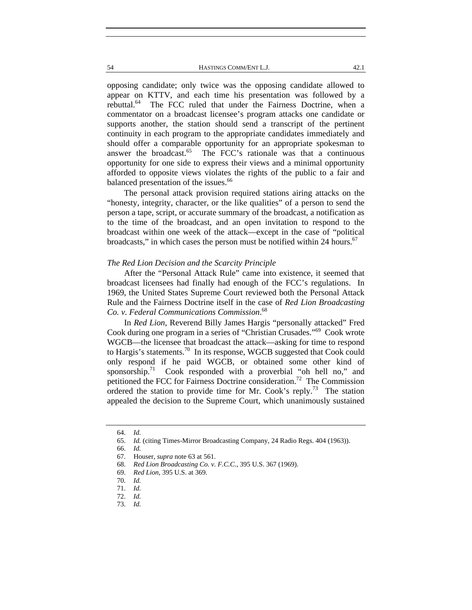54 HASTINGS COMM/ENT L.J. 42.1

opposing candidate; only twice was the opposing candidate allowed to appear on KTTV, and each time his presentation was followed by a rebuttal.<sup>64</sup> The FCC ruled that under the Fairness Doctrine, when a commentator on a broadcast licensee's program attacks one candidate or supports another, the station should send a transcript of the pertinent continuity in each program to the appropriate candidates immediately and should offer a comparable opportunity for an appropriate spokesman to answer the broadcast. $65$  The FCC's rationale was that a continuous opportunity for one side to express their views and a minimal opportunity afforded to opposite views violates the rights of the public to a fair and balanced presentation of the issues.<sup>66</sup>

The personal attack provision required stations airing attacks on the "honesty, integrity, character, or the like qualities" of a person to send the person a tape, script, or accurate summary of the broadcast, a notification as to the time of the broadcast, and an open invitation to respond to the broadcast within one week of the attack—except in the case of "political broadcasts," in which cases the person must be notified within 24 hours. $67$ 

## *The Red Lion Decision and the Scarcity Principle*

After the "Personal Attack Rule" came into existence, it seemed that broadcast licensees had finally had enough of the FCC's regulations. In 1969, the United States Supreme Court reviewed both the Personal Attack Rule and the Fairness Doctrine itself in the case of *Red Lion Broadcasting Co. v. Federal Communications Commission*. 68

In *Red Lion*, Reverend Billy James Hargis "personally attacked" Fred Cook during one program in a series of "Christian Crusades."69 Cook wrote WGCB—the licensee that broadcast the attack—asking for time to respond to Hargis's statements.<sup>70</sup> In its response, WGCB suggested that Cook could only respond if he paid WGCB, or obtained some other kind of sponsorship.<sup>71</sup> Cook responded with a proverbial "oh hell no," and petitioned the FCC for Fairness Doctrine consideration.<sup>72</sup> The Commission ordered the station to provide time for Mr. Cook's reply.<sup>73</sup> The station appealed the decision to the Supreme Court, which unanimously sustained

 <sup>64.</sup> *Id.*

 <sup>65.</sup> *Id.* (citing Times-Mirror Broadcasting Company, 24 Radio Regs. 404 (1963)).

 <sup>66.</sup> *Id.*

 <sup>67.</sup> Houser, *supra* note 63 at 561.

 <sup>68.</sup> *Red Lion Broadcasting Co. v. F.C.C.*, 395 U.S. 367 (1969).

 <sup>69.</sup> *Red Lion*, 395 U.S. at 369.

 <sup>70.</sup> *Id.*

 <sup>71.</sup> *Id.*

 <sup>72.</sup> *Id.*

 <sup>73.</sup> *Id.*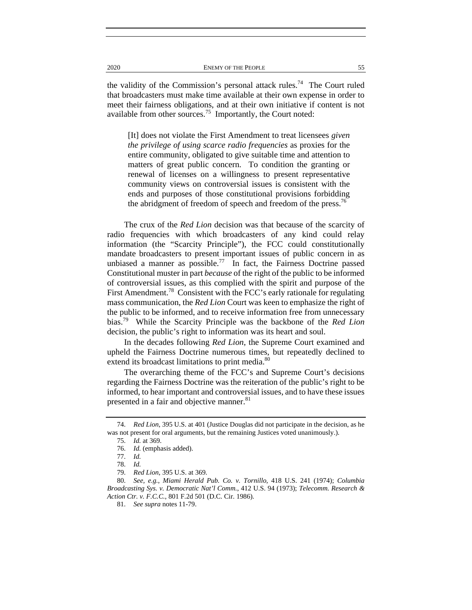the validity of the Commission's personal attack rules.<sup>74</sup> The Court ruled that broadcasters must make time available at their own expense in order to meet their fairness obligations, and at their own initiative if content is not available from other sources.<sup>75</sup> Importantly, the Court noted:

[It] does not violate the First Amendment to treat licensees *given the privilege of using scarce radio frequencies* as proxies for the entire community, obligated to give suitable time and attention to matters of great public concern. To condition the granting or renewal of licenses on a willingness to present representative community views on controversial issues is consistent with the ends and purposes of those constitutional provisions forbidding the abridgment of freedom of speech and freedom of the press.<sup>76</sup>

The crux of the *Red Lion* decision was that because of the scarcity of radio frequencies with which broadcasters of any kind could relay information (the "Scarcity Principle"), the FCC could constitutionally mandate broadcasters to present important issues of public concern in as unbiased a manner as possible.<sup>77</sup> In fact, the Fairness Doctrine passed Constitutional muster in part *because* of the right of the public to be informed of controversial issues, as this complied with the spirit and purpose of the First Amendment.<sup>78</sup> Consistent with the FCC's early rationale for regulating mass communication, the *Red Lion* Court was keen to emphasize the right of the public to be informed, and to receive information free from unnecessary bias.79 While the Scarcity Principle was the backbone of the *Red Lion*  decision, the public's right to information was its heart and soul.

In the decades following *Red Lion*, the Supreme Court examined and upheld the Fairness Doctrine numerous times, but repeatedly declined to extend its broadcast limitations to print media.<sup>80</sup>

The overarching theme of the FCC's and Supreme Court's decisions regarding the Fairness Doctrine was the reiteration of the public's right to be informed, to hear important and controversial issues, and to have these issues presented in a fair and objective manner.<sup>81</sup>

 <sup>74.</sup> *Red Lion*, 395 U.S. at 401 (Justice Douglas did not participate in the decision, as he was not present for oral arguments, but the remaining Justices voted unanimously.).

 <sup>75.</sup> *Id.* at 369.

 <sup>76.</sup> *Id.* (emphasis added).

 <sup>77.</sup> *Id.*

 <sup>78.</sup> *Id.*

 <sup>79.</sup> *Red Lion*, 395 U.S. at 369.

 <sup>80.</sup> *See, e.g.*, *Miami Herald Pub. Co. v. Tornillo*, 418 U.S. 241 (1974); *Columbia Broadcasting Sys. v. Democratic Nat'l Comm.*, 412 U.S. 94 (1973); *Telecomm. Research & Action Ctr. v. F.C.C.*, 801 F.2d 501 (D.C. Cir. 1986).

 <sup>81.</sup> *See supra* notes 11-79.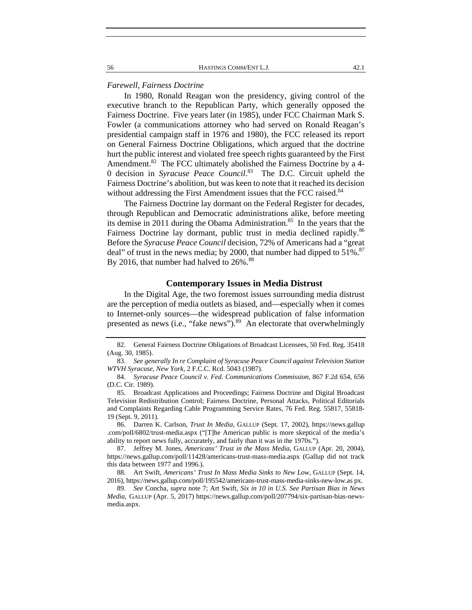56 HASTINGS COMM/ENT L.J. 42.1

#### *Farewell, Fairness Doctrine*

In 1980, Ronald Reagan won the presidency, giving control of the executive branch to the Republican Party, which generally opposed the Fairness Doctrine. Five years later (in 1985), under FCC Chairman Mark S. Fowler (a communications attorney who had served on Ronald Reagan's presidential campaign staff in 1976 and 1980), the FCC released its report on General Fairness Doctrine Obligations, which argued that the doctrine hurt the public interest and violated free speech rights guaranteed by the First Amendment.<sup>82</sup> The FCC ultimately abolished the Fairness Doctrine by a 4-0 decision in *Syracuse Peace Council*. 83 The D.C. Circuit upheld the Fairness Doctrine's abolition, but was keen to note that it reached its decision without addressing the First Amendment issues that the FCC raised.<sup>84</sup>

The Fairness Doctrine lay dormant on the Federal Register for decades, through Republican and Democratic administrations alike, before meeting its demise in 2011 during the Obama Administration.<sup>85</sup> In the years that the Fairness Doctrine lay dormant, public trust in media declined rapidly.<sup>86</sup> Before the *Syracuse Peace Council* decision, 72% of Americans had a "great deal" of trust in the news media; by 2000, that number had dipped to  $51\%$ . By 2016, that number had halved to 26%.<sup>88</sup>

## **Contemporary Issues in Media Distrust**

In the Digital Age, the two foremost issues surrounding media distrust are the perception of media outlets as biased, and—especially when it comes to Internet-only sources—the widespread publication of false information presented as news (i.e., "fake news"). $89$  An electorate that overwhelmingly

 86. Darren K. Carlson, *Trust In Media*, GALLUP (Sept. 17, 2002), https://news.gallup .com/poll/6802/trust-media.aspx ("[T]he American public is more skeptical of the media's ability to report news fully, accurately, and fairly than it was in the 1970s.").

 87. Jeffrey M. Jones, *Americans' Trust in the Mass Media*, GALLUP (Apr. 20, 2004), https://news.gallup.com/poll/11428/americans-trust-mass-media.aspx (Gallup did not track this data between 1977 and 1996.).

 88. Art Swift, *Americans' Trust In Mass Media Sinks to New Low*, GALLUP (Sept. 14, 2016), https://news.gallup.com/poll/195542/americans-trust-mass-media-sinks-new-low.as px.

 89. *See* Concha, *supra* note 7; Art Swift, *Six in 10 in U.S. See Partisan Bias in News Media*, GALLUP (Apr. 5, 2017) https://news.gallup.com/poll/207794/six-partisan-bias-newsmedia.aspx.

 <sup>82.</sup> General Fairness Doctrine Obligations of Broadcast Licensees, 50 Fed. Reg. 35418 (Aug. 30, 1985).

 <sup>83.</sup> *See generally In re Complaint of Syracuse Peace Council against Television Station WTVH Syracuse, New York*, 2 F.C.C. Rcd. 5043 (1987).

 <sup>84.</sup> *Syracuse Peace Council v. Fed. Communications Commission*, 867 F.2d 654, 656 (D.C. Cir. 1989).

 <sup>85.</sup> Broadcast Applications and Proceedings; Fairness Doctrine and Digital Broadcast Television Redistribution Control; Fairness Doctrine, Personal Attacks, Political Editorials and Complaints Regarding Cable Programming Service Rates, 76 Fed. Reg. 55817, 55818- 19 (Sept. 9, 2011).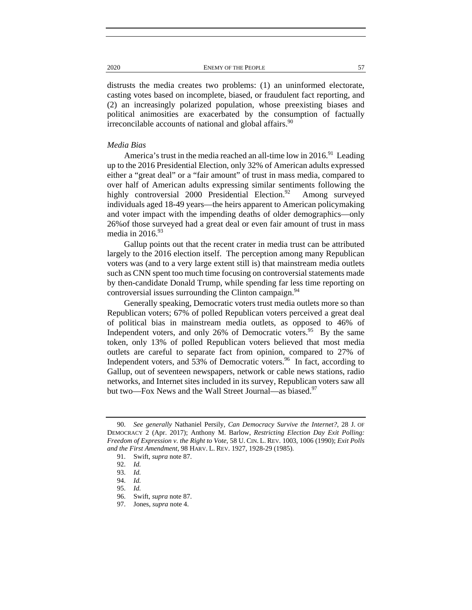distrusts the media creates two problems: (1) an uninformed electorate, casting votes based on incomplete, biased, or fraudulent fact reporting, and (2) an increasingly polarized population, whose preexisting biases and political animosities are exacerbated by the consumption of factually irreconcilable accounts of national and global affairs. $90$ 

## *Media Bias*

America's trust in the media reached an all-time low in  $2016$ <sup>91</sup>. Leading up to the 2016 Presidential Election, only 32% of American adults expressed either a "great deal" or a "fair amount" of trust in mass media, compared to over half of American adults expressing similar sentiments following the highly controversial 2000 Presidential Election.<sup>92</sup> Among surveyed individuals aged 18-49 years—the heirs apparent to American policymaking and voter impact with the impending deaths of older demographics—only 26%of those surveyed had a great deal or even fair amount of trust in mass media in  $2016.<sup>93</sup>$ 

Gallup points out that the recent crater in media trust can be attributed largely to the 2016 election itself. The perception among many Republican voters was (and to a very large extent still is) that mainstream media outlets such as CNN spent too much time focusing on controversial statements made by then-candidate Donald Trump, while spending far less time reporting on controversial issues surrounding the Clinton campaign. $94$ 

Generally speaking, Democratic voters trust media outlets more so than Republican voters; 67% of polled Republican voters perceived a great deal of political bias in mainstream media outlets, as opposed to 46% of Independent voters, and only 26% of Democratic voters.<sup>95</sup> By the same token, only 13% of polled Republican voters believed that most media outlets are careful to separate fact from opinion, compared to 27% of Independent voters, and 53% of Democratic voters.<sup>96</sup> In fact, according to Gallup, out of seventeen newspapers, network or cable news stations, radio networks, and Internet sites included in its survey, Republican voters saw all but two—Fox News and the Wall Street Journal—as biased.<sup>97</sup>

 <sup>90.</sup> *See generally* Nathaniel Persily, *Can Democracy Survive the Internet?*, 28 J. OF DEMOCRACY 2 (Apr. 2017); Anthony M. Barlow, *Restricting Election Day Exit Polling: Freedom of Expression v. the Right to Vote*, 58 U. CIN. L. REV. 1003, 1006 (1990); *Exit Polls and the First Amendment*, 98 HARV. L. REV. 1927, 1928-29 (1985).

 <sup>91.</sup> Swift, *supra* note 87.

 <sup>92.</sup> *Id.*

 <sup>93.</sup> *Id.* 

 <sup>94.</sup> *Id.*

 <sup>95.</sup> *Id.*

 <sup>96.</sup> Swift, *supra* note 87.

 <sup>97.</sup> Jones, *supra* note 4.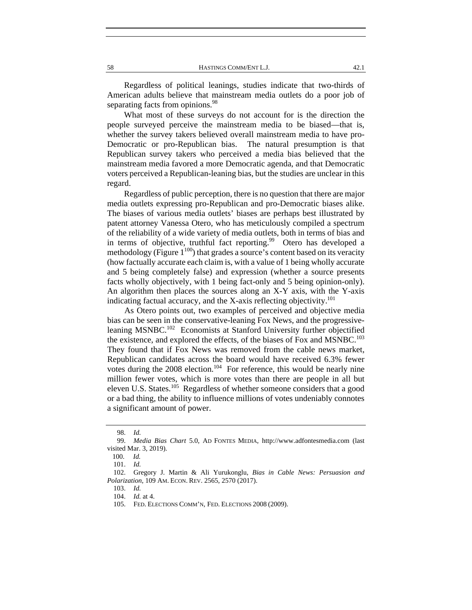Regardless of political leanings, studies indicate that two-thirds of American adults believe that mainstream media outlets do a poor job of separating facts from opinions.<sup>98</sup>

What most of these surveys do not account for is the direction the people surveyed perceive the mainstream media to be biased—that is, whether the survey takers believed overall mainstream media to have pro-Democratic or pro-Republican bias. The natural presumption is that Republican survey takers who perceived a media bias believed that the mainstream media favored a more Democratic agenda, and that Democratic voters perceived a Republican-leaning bias, but the studies are unclear in this regard.

Regardless of public perception, there is no question that there are major media outlets expressing pro-Republican and pro-Democratic biases alike. The biases of various media outlets' biases are perhaps best illustrated by patent attorney Vanessa Otero, who has meticulously compiled a spectrum of the reliability of a wide variety of media outlets, both in terms of bias and in terms of objective, truthful fact reporting.<sup>99</sup> Otero has developed a methodology (Figure  $1^{100}$ ) that grades a source's content based on its veracity (how factually accurate each claim is, with a value of 1 being wholly accurate and 5 being completely false) and expression (whether a source presents facts wholly objectively, with 1 being fact-only and 5 being opinion-only). An algorithm then places the sources along an X-Y axis, with the Y-axis indicating factual accuracy, and the X-axis reflecting objectivity.<sup>101</sup>

As Otero points out, two examples of perceived and objective media bias can be seen in the conservative-leaning Fox News, and the progressiveleaning MSNBC.<sup>102</sup> Economists at Stanford University further objectified the existence, and explored the effects, of the biases of Fox and MSNBC.<sup>103</sup> They found that if Fox News was removed from the cable news market, Republican candidates across the board would have received 6.3% fewer votes during the  $2008$  election.<sup>104</sup> For reference, this would be nearly nine million fewer votes, which is more votes than there are people in all but eleven U.S. States.<sup>105</sup> Regardless of whether someone considers that a good or a bad thing, the ability to influence millions of votes undeniably connotes a significant amount of power.

 <sup>98.</sup> *Id.*

 <sup>99.</sup> *Media Bias Chart* 5.0, AD FONTES MEDIA, http://www.adfontesmedia.com (last visited Mar. 3, 2019).

 <sup>100.</sup> *Id.* 

 <sup>101.</sup> *Id.*

 <sup>102.</sup> Gregory J. Martin & Ali Yurukonglu, *Bias in Cable News: Persuasion and Polarization*, 109 AM. ECON. REV. 2565, 2570 (2017).

 <sup>103.</sup> *Id.*

 <sup>104.</sup> *Id.* at 4.

 <sup>105.</sup> FED. ELECTIONS COMM'N, FED. ELECTIONS 2008 (2009).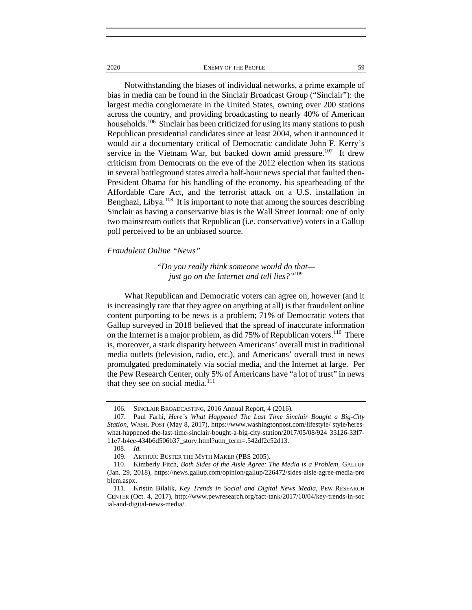2020 ENEMY OF THE PEOPLE 59

Notwithstanding the biases of individual networks, a prime example of bias in media can be found in the Sinclair Broadcast Group ("Sinclair"): the largest media conglomerate in the United States, owning over 200 stations across the country, and providing broadcasting to nearly 40% of American households.<sup>106</sup> Sinclair has been criticized for using its many stations to push Republican presidential candidates since at least 2004, when it announced it would air a documentary critical of Democratic candidate John F. Kerry's service in the Vietnam War, but backed down amid pressure.<sup>107</sup> It drew criticism from Democrats on the eve of the 2012 election when its stations in several battleground states aired a half-hour news special that faulted then-President Obama for his handling of the economy, his spearheading of the Affordable Care Act, and the terrorist attack on a U.S. installation in Benghazi, Libya.<sup>108</sup> It is important to note that among the sources describing Sinclair as having a conservative bias is the Wall Street Journal: one of only two mainstream outlets that Republican (i.e. conservative) voters in a Gallup poll perceived to be an unbiased source.

#### *Fraudulent Online "News"*

## *"Do you really think someone would do that just go on the Internet and tell lies?"*<sup>109</sup>

What Republican and Democratic voters can agree on, however (and it is increasingly rare that they agree on anything at all) is that fraudulent online content purporting to be news is a problem; 71% of Democratic voters that Gallup surveyed in 2018 believed that the spread of inaccurate information on the Internet is a major problem, as did 75% of Republican voters.<sup>110</sup> There is, moreover, a stark disparity between Americans' overall trust in traditional media outlets (television, radio, etc.), and Americans' overall trust in news promulgated predominately via social media, and the Internet at large. Per the Pew Research Center, only 5% of Americans have "a lot of trust" in news that they see on social media. $111$ 

 <sup>106.</sup> SINCLAIR BROADCASTING, 2016 Annual Report, 4 (2016).

 <sup>107.</sup> Paul Farhi, *Here's What Happened The Last Time Sinclair Bought a Big-City Station*, WASH. POST (May 8, 2017), https://www.washingtonpost.com/lifestyle/ style/hereswhat-happened-the-last-time-sinclair-bought-a-big-city-station/2017/05/08/924 33126-33f7- 11e7-b4ee-434b6d506b37\_story.html?utm\_term=.542df2c52d13.

 <sup>108.</sup> *Id.*

 <sup>109.</sup> ARTHUR: BUSTER THE MYTH MAKER (PBS 2005).

 <sup>110.</sup> Kimberly Fitch, *Both Sides of the Aisle Agree: The Media is a Problem*, GALLUP (Jan. 29, 2018), https://news.gallup.com/opinion/gallup/226472/sides-aisle-agree-media-pro blem.aspx.

 <sup>111.</sup> Kristin Bilalik, *Key Trends in Social and Digital News Media*, PEW RESEARCH CENTER (Oct. 4, 2017), http://www.pewresearch.org/fact-tank/2017/10/04/key-trends-in-soc ial-and-digital-news-media/.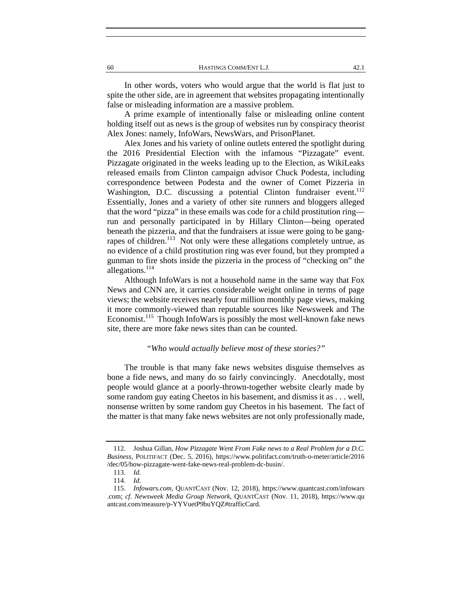60 HASTINGS COMM/ENT L.J. 42.1

In other words, voters who would argue that the world is flat just to spite the other side, are in agreement that websites propagating intentionally false or misleading information are a massive problem.

A prime example of intentionally false or misleading online content holding itself out as news is the group of websites run by conspiracy theorist Alex Jones: namely, InfoWars, NewsWars, and PrisonPlanet.

Alex Jones and his variety of online outlets entered the spotlight during the 2016 Presidential Election with the infamous "Pizzagate" event. Pizzagate originated in the weeks leading up to the Election, as WikiLeaks released emails from Clinton campaign advisor Chuck Podesta, including correspondence between Podesta and the owner of Comet Pizzeria in Washington, D.C. discussing a potential Clinton fundraiser event.<sup>112</sup> Essentially, Jones and a variety of other site runners and bloggers alleged that the word "pizza" in these emails was code for a child prostitution ring run and personally participated in by Hillary Clinton—being operated beneath the pizzeria, and that the fundraisers at issue were going to be gangrapes of children.<sup>113</sup> Not only were these allegations completely untrue, as no evidence of a child prostitution ring was ever found, but they prompted a gunman to fire shots inside the pizzeria in the process of "checking on" the allegations.<sup>114</sup>

Although InfoWars is not a household name in the same way that Fox News and CNN are, it carries considerable weight online in terms of page views; the website receives nearly four million monthly page views, making it more commonly-viewed than reputable sources like Newsweek and The Economist.<sup>115</sup> Though InfoWars is possibly the most well-known fake news site, there are more fake news sites than can be counted.

## *"Who would actually believe most of these stories?"*

The trouble is that many fake news websites disguise themselves as bone a fide news, and many do so fairly convincingly. Anecdotally, most people would glance at a poorly-thrown-together website clearly made by some random guy eating Cheetos in his basement, and dismiss it as . . . well, nonsense written by some random guy Cheetos in his basement. The fact of the matter is that many fake news websites are not only professionally made,

 <sup>112.</sup> Joshua Gillan, *How Pizzagate Went From Fake news to a Real Problem for a D.C. Business*, POLITIFACT (Dec. 5, 2016), https://www.politifact.com/truth-o-meter/article/2016 /dec/05/how-pizzagate-went-fake-news-real-problem-dc-busin/.

 <sup>113.</sup> *Id.*

 <sup>114.</sup> *Id.*

 <sup>115.</sup> *Infowars.com*, QUANTCAST (Nov. 12, 2018), https://www.quantcast.com/infowars .com; *cf. Newsweek Media Group Network*, QUANTCAST (Nov. 11, 2018), https://www.qu antcast.com/measure/p-YYVuetP9buYQZ#trafficCard.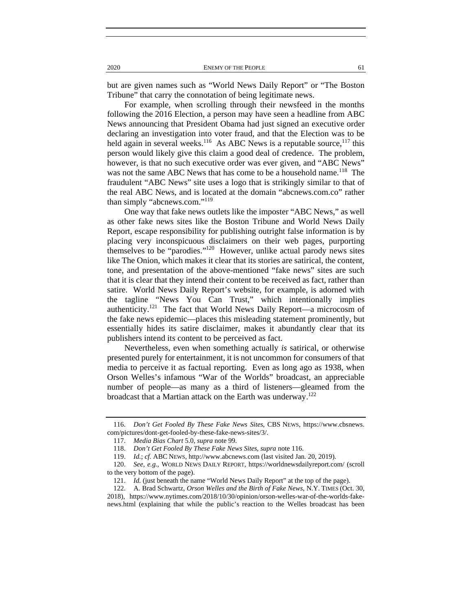but are given names such as "World News Daily Report" or "The Boston Tribune" that carry the connotation of being legitimate news.

For example, when scrolling through their newsfeed in the months following the 2016 Election, a person may have seen a headline from ABC News announcing that President Obama had just signed an executive order declaring an investigation into voter fraud, and that the Election was to be held again in several weeks.<sup>116</sup> As ABC News is a reputable source,<sup>117</sup> this person would likely give this claim a good deal of credence. The problem, however, is that no such executive order was ever given, and "ABC News" was not the same ABC News that has come to be a household name.<sup>118</sup> The fraudulent "ABC News" site uses a logo that is strikingly similar to that of the real ABC News, and is located at the domain "abcnews.com.co" rather than simply "abcnews.com."<sup>119</sup>

One way that fake news outlets like the imposter "ABC News," as well as other fake news sites like the Boston Tribune and World News Daily Report, escape responsibility for publishing outright false information is by placing very inconspicuous disclaimers on their web pages, purporting themselves to be "parodies."120 However, unlike actual parody news sites like The Onion, which makes it clear that its stories are satirical, the content, tone, and presentation of the above-mentioned "fake news" sites are such that it is clear that they intend their content to be received as fact, rather than satire. World News Daily Report's website, for example, is adorned with the tagline "News You Can Trust," which intentionally implies authenticity.<sup>121</sup> The fact that World News Daily Report—a microcosm of the fake news epidemic—places this misleading statement prominently, but essentially hides its satire disclaimer, makes it abundantly clear that its publishers intend its content to be perceived as fact.

Nevertheless, even when something actually *is* satirical, or otherwise presented purely for entertainment, it is not uncommon for consumers of that media to perceive it as factual reporting. Even as long ago as 1938, when Orson Welles's infamous "War of the Worlds" broadcast, an appreciable number of people—as many as a third of listeners—gleamed from the broadcast that a Martian attack on the Earth was underway.<sup>122</sup>

 <sup>116.</sup> *Don't Get Fooled By These Fake News Sites*, CBS NEWS, https://www.cbsnews. com/pictures/dont-get-fooled-by-these-fake-news-sites/3/.

 <sup>117.</sup> *Media Bias Chart* 5.0, *supra* note 99.

 <sup>118.</sup> *Don't Get Fooled By These Fake News Sites*, *supra* note 116.

 <sup>119.</sup> *Id.*; *cf.* ABC NEWS, http://www.abcnews.com (last visited Jan. 20, 2019).

 <sup>120.</sup> *See, e.g.*, WORLD NEWS DAILY REPORT, https://worldnewsdailyreport.com/ (scroll to the very bottom of the page).

 <sup>121.</sup> *Id.* (just beneath the name "World News Daily Report" at the top of the page).

 <sup>122.</sup> A. Brad Schwartz, *Orson Welles and the Birth of Fake News*, N.Y. TIMES (Oct. 30, 2018), https://www.nytimes.com/2018/10/30/opinion/orson-welles-war-of-the-worlds-fakenews.html (explaining that while the public's reaction to the Welles broadcast has been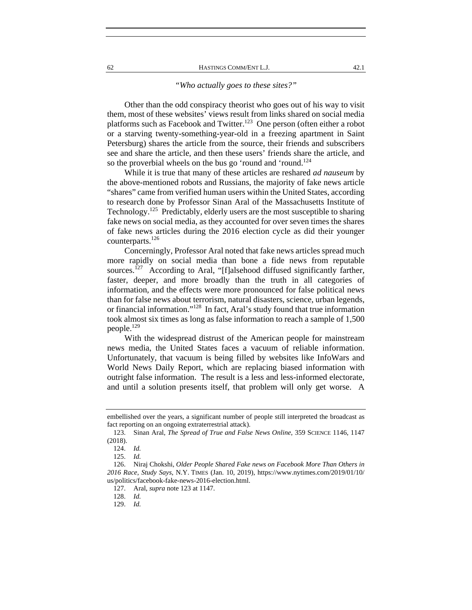#### *"Who actually goes to these sites?"*

Other than the odd conspiracy theorist who goes out of his way to visit them, most of these websites' views result from links shared on social media platforms such as Facebook and Twitter.<sup>123</sup> One person (often either a robot or a starving twenty-something-year-old in a freezing apartment in Saint Petersburg) shares the article from the source, their friends and subscribers see and share the article, and then these users' friends share the article, and so the proverbial wheels on the bus go 'round and 'round.<sup>124</sup>

While it is true that many of these articles are reshared *ad nauseum* by the above-mentioned robots and Russians, the majority of fake news article "shares" came from verified human users within the United States, according to research done by Professor Sinan Aral of the Massachusetts Institute of Technology.<sup>125</sup> Predictably, elderly users are the most susceptible to sharing fake news on social media, as they accounted for over seven times the shares of fake news articles during the 2016 election cycle as did their younger counterparts.<sup>126</sup>

Concerningly, Professor Aral noted that fake news articles spread much more rapidly on social media than bone a fide news from reputable sources.<sup>127</sup> According to Aral, "[f]alsehood diffused significantly farther, faster, deeper, and more broadly than the truth in all categories of information, and the effects were more pronounced for false political news than for false news about terrorism, natural disasters, science, urban legends, or financial information."<sup>128</sup> In fact, Aral's study found that true information took almost six times as long as false information to reach a sample of 1,500 people.<sup>129</sup>

With the widespread distrust of the American people for mainstream news media, the United States faces a vacuum of reliable information. Unfortunately, that vacuum is being filled by websites like InfoWars and World News Daily Report, which are replacing biased information with outright false information. The result is a less and less-informed electorate, and until a solution presents itself, that problem will only get worse. A

embellished over the years, a significant number of people still interpreted the broadcast as fact reporting on an ongoing extraterrestrial attack).

 <sup>123.</sup> Sinan Aral, *The Spread of True and False News Online*, 359 SCIENCE 1146, 1147 (2018).

 <sup>124.</sup> *Id.*

 <sup>125.</sup> *Id.*

 <sup>126.</sup> Niraj Chokshi, *Older People Shared Fake news on Facebook More Than Others in 2016 Race, Study Says*, N.Y. TIMES (Jan. 10, 2019), https://www.nytimes.com/2019/01/10/ us/politics/facebook-fake-news-2016-election.html.

 <sup>127.</sup> Aral, *supra* note 123 at 1147.

 <sup>128.</sup> *Id.*

 <sup>129.</sup> *Id.*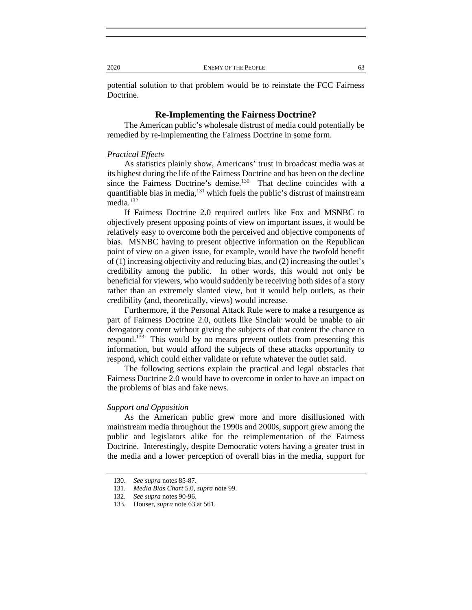potential solution to that problem would be to reinstate the FCC Fairness Doctrine.

## **Re-Implementing the Fairness Doctrine?**

The American public's wholesale distrust of media could potentially be remedied by re-implementing the Fairness Doctrine in some form.

## *Practical Effects*

As statistics plainly show, Americans' trust in broadcast media was at its highest during the life of the Fairness Doctrine and has been on the decline since the Fairness Doctrine's demise.<sup>130</sup> That decline coincides with a quantifiable bias in media,<sup>131</sup> which fuels the public's distrust of mainstream media.<sup>132</sup>

If Fairness Doctrine 2.0 required outlets like Fox and MSNBC to objectively present opposing points of view on important issues, it would be relatively easy to overcome both the perceived and objective components of bias. MSNBC having to present objective information on the Republican point of view on a given issue, for example, would have the twofold benefit of (1) increasing objectivity and reducing bias, and (2) increasing the outlet's credibility among the public. In other words, this would not only be beneficial for viewers, who would suddenly be receiving both sides of a story rather than an extremely slanted view, but it would help outlets, as their credibility (and, theoretically, views) would increase.

Furthermore, if the Personal Attack Rule were to make a resurgence as part of Fairness Doctrine 2.0, outlets like Sinclair would be unable to air derogatory content without giving the subjects of that content the chance to respond.<sup>133</sup> This would by no means prevent outlets from presenting this information, but would afford the subjects of these attacks opportunity to respond, which could either validate or refute whatever the outlet said.

The following sections explain the practical and legal obstacles that Fairness Doctrine 2.0 would have to overcome in order to have an impact on the problems of bias and fake news.

#### *Support and Opposition*

As the American public grew more and more disillusioned with mainstream media throughout the 1990s and 2000s, support grew among the public and legislators alike for the reimplementation of the Fairness Doctrine. Interestingly, despite Democratic voters having a greater trust in the media and a lower perception of overall bias in the media, support for

 <sup>130.</sup> *See supra* notes 85-87.

 <sup>131.</sup> *Media Bias Chart* 5.0, *supra* note 99.

 <sup>132.</sup> *See supra* notes 90-96.

 <sup>133.</sup> Houser, *supra* note 63 at 561.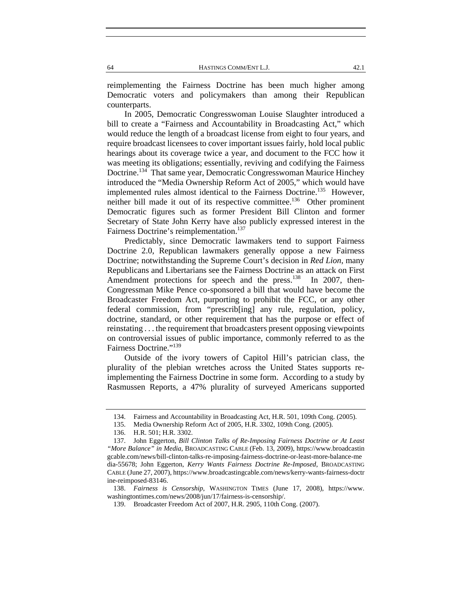reimplementing the Fairness Doctrine has been much higher among Democratic voters and policymakers than among their Republican counterparts.

In 2005, Democratic Congresswoman Louise Slaughter introduced a bill to create a "Fairness and Accountability in Broadcasting Act," which would reduce the length of a broadcast license from eight to four years, and require broadcast licensees to cover important issues fairly, hold local public hearings about its coverage twice a year, and document to the FCC how it was meeting its obligations; essentially, reviving and codifying the Fairness Doctrine.<sup>134</sup> That same year, Democratic Congresswoman Maurice Hinchey introduced the "Media Ownership Reform Act of 2005," which would have implemented rules almost identical to the Fairness Doctrine.<sup>135</sup> However, neither bill made it out of its respective committee.<sup>136</sup> Other prominent Democratic figures such as former President Bill Clinton and former Secretary of State John Kerry have also publicly expressed interest in the Fairness Doctrine's reimplementation.<sup>137</sup>

Predictably, since Democratic lawmakers tend to support Fairness Doctrine 2.0, Republican lawmakers generally oppose a new Fairness Doctrine; notwithstanding the Supreme Court's decision in *Red Lion*, many Republicans and Libertarians see the Fairness Doctrine as an attack on First Amendment protections for speech and the press.<sup>138</sup> In 2007, then-Congressman Mike Pence co-sponsored a bill that would have become the Broadcaster Freedom Act, purporting to prohibit the FCC, or any other federal commission, from "prescrib[ing] any rule, regulation, policy, doctrine, standard, or other requirement that has the purpose or effect of reinstating . . . the requirement that broadcasters present opposing viewpoints on controversial issues of public importance, commonly referred to as the Fairness Doctrine."<sup>139</sup>

Outside of the ivory towers of Capitol Hill's patrician class, the plurality of the plebian wretches across the United States supports reimplementing the Fairness Doctrine in some form. According to a study by Rasmussen Reports, a 47% plurality of surveyed Americans supported

 <sup>134.</sup> Fairness and Accountability in Broadcasting Act, H.R. 501, 109th Cong. (2005).

 <sup>135.</sup> Media Ownership Reform Act of 2005, H.R. 3302, 109th Cong. (2005).

 <sup>136.</sup> H.R. 501; H.R. 3302.

 <sup>137.</sup> John Eggerton, *Bill Clinton Talks of Re-Imposing Fairness Doctrine or At Least "More Balance" in Media*, BROADCASTING CABLE (Feb. 13, 2009), https://www.broadcastin gcable.com/news/bill-clinton-talks-re-imposing-fairness-doctrine-or-least-more-balance-me dia-55678; John Eggerton, *Kerry Wants Fairness Doctrine Re-Imposed*, BROADCASTING CABLE (June 27, 2007), https://www.broadcastingcable.com/news/kerry-wants-fairness-doctr ine-reimposed-83146.

 <sup>138.</sup> *Fairness is Censorship*, WASHINGTON TIMES (June 17, 2008), https://www. washingtontimes.com/news/2008/jun/17/fairness-is-censorship/.

 <sup>139.</sup> Broadcaster Freedom Act of 2007, H.R. 2905, 110th Cong. (2007).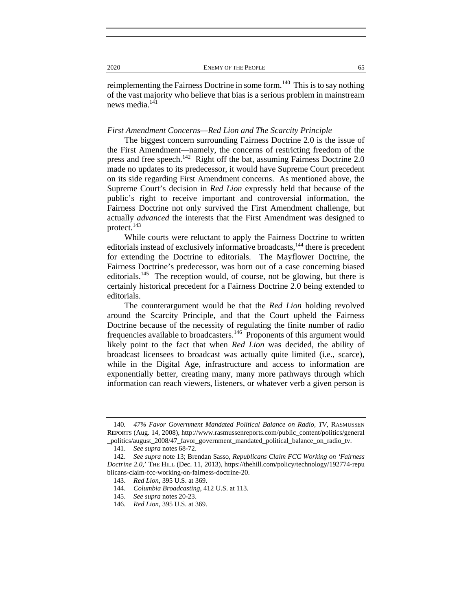reimplementing the Fairness Doctrine in some form.<sup>140</sup> This is to say nothing of the vast majority who believe that bias is a serious problem in mainstream news media.<sup>141</sup>

#### *First Amendment Concerns—Red Lion and The Scarcity Principle*

The biggest concern surrounding Fairness Doctrine 2.0 is the issue of the First Amendment—namely, the concerns of restricting freedom of the press and free speech.<sup>142</sup> Right off the bat, assuming Fairness Doctrine 2.0 made no updates to its predecessor, it would have Supreme Court precedent on its side regarding First Amendment concerns. As mentioned above, the Supreme Court's decision in *Red Lion* expressly held that because of the public's right to receive important and controversial information, the Fairness Doctrine not only survived the First Amendment challenge, but actually *advanced* the interests that the First Amendment was designed to protect.<sup>143</sup>

While courts were reluctant to apply the Fairness Doctrine to written editorials instead of exclusively informative broadcasts,<sup>144</sup> there is precedent for extending the Doctrine to editorials. The Mayflower Doctrine, the Fairness Doctrine's predecessor, was born out of a case concerning biased editorials.<sup>145</sup> The reception would, of course, not be glowing, but there is certainly historical precedent for a Fairness Doctrine 2.0 being extended to editorials.

The counterargument would be that the *Red Lion* holding revolved around the Scarcity Principle, and that the Court upheld the Fairness Doctrine because of the necessity of regulating the finite number of radio frequencies available to broadcasters.<sup>146</sup> Proponents of this argument would likely point to the fact that when *Red Lion* was decided, the ability of broadcast licensees to broadcast was actually quite limited (i.e., scarce), while in the Digital Age, infrastructure and access to information are exponentially better, creating many, many more pathways through which information can reach viewers, listeners, or whatever verb a given person is

<sup>140</sup>*. 47% Favor Government Mandated Political Balance on Radio, TV*, RASMUSSEN REPORTS (Aug. 14, 2008), http://www.rasmussenreports.com/public\_content/politics/general \_politics/august\_2008/47\_favor\_government\_mandated\_political\_balance\_on\_radio\_tv.

 <sup>141.</sup> *See supra* notes 68-72.

 <sup>142.</sup> *See supra* note 13; Brendan Sasso, *Republicans Claim FCC Working on 'Fairness Doctrine 2.0*,' THE HILL (Dec. 11, 2013), https://thehill.com/policy/technology/192774-repu blicans-claim-fcc-working-on-fairness-doctrine-20.

 <sup>143.</sup> *Red Lion*, 395 U.S. at 369.

 <sup>144.</sup> *Columbia Broadcasting*, 412 U.S. at 113.

 <sup>145.</sup> *See supra* notes 20-23.

 <sup>146.</sup> *Red Lion*, 395 U.S. at 369.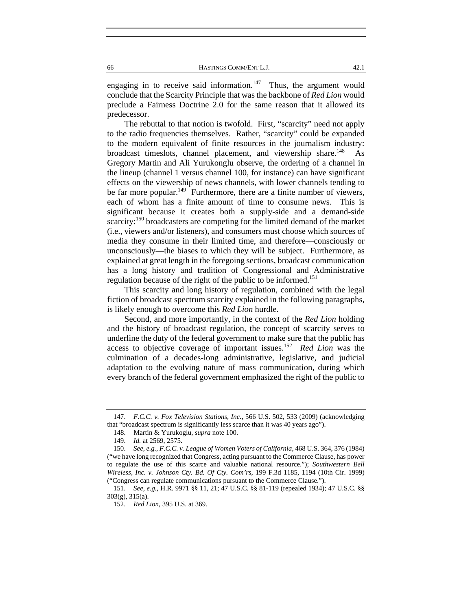engaging in to receive said information.<sup>147</sup> Thus, the argument would conclude that the Scarcity Principle that was the backbone of *Red Lion* would preclude a Fairness Doctrine 2.0 for the same reason that it allowed its predecessor.

The rebuttal to that notion is twofold. First, "scarcity" need not apply to the radio frequencies themselves. Rather, "scarcity" could be expanded to the modern equivalent of finite resources in the journalism industry: broadcast timeslots, channel placement, and viewership share.<sup>148</sup> As Gregory Martin and Ali Yurukonglu observe, the ordering of a channel in the lineup (channel 1 versus channel 100, for instance) can have significant effects on the viewership of news channels, with lower channels tending to be far more popular.<sup>149</sup> Furthermore, there are a finite number of viewers, each of whom has a finite amount of time to consume news. This is significant because it creates both a supply-side and a demand-side scarcity:<sup>150</sup> broadcasters are competing for the limited demand of the market (i.e., viewers and/or listeners), and consumers must choose which sources of media they consume in their limited time, and therefore—consciously or unconsciously—the biases to which they will be subject. Furthermore, as explained at great length in the foregoing sections, broadcast communication has a long history and tradition of Congressional and Administrative regulation because of the right of the public to be informed.<sup>151</sup>

This scarcity and long history of regulation, combined with the legal fiction of broadcast spectrum scarcity explained in the following paragraphs, is likely enough to overcome this *Red Lion* hurdle.

Second, and more importantly, in the context of the *Red Lion* holding and the history of broadcast regulation, the concept of scarcity serves to underline the duty of the federal government to make sure that the public has access to objective coverage of important issues.152 *Red Lion* was the culmination of a decades-long administrative, legislative, and judicial adaptation to the evolving nature of mass communication, during which every branch of the federal government emphasized the right of the public to

 <sup>147.</sup> *F.C.C. v. Fox Television Stations, Inc.*, 566 U.S. 502, 533 (2009) (acknowledging that "broadcast spectrum is significantly less scarce than it was 40 years ago").

 <sup>148.</sup> Martin & Yurukoglu, *supra* note 100.

 <sup>149.</sup> *Id.* at 2569, 2575.

 <sup>150.</sup> *See, e.g.*, *F.C.C. v. League of Women Voters of California*, 468 U.S. 364, 376 (1984) ("we have long recognized that Congress, acting pursuant to the Commerce Clause, has power to regulate the use of this scarce and valuable national resource."); *Southwestern Bell Wireless, Inc. v. Johnson Cty. Bd. Of Cty. Com'rs*, 199 F.3d 1185, 1194 (10th Cir. 1999) ("Congress can regulate communications pursuant to the Commerce Clause.").

 <sup>151.</sup> *See, e.g.*, H.R. 9971 §§ 11, 21; 47 U.S.C. §§ 81-119 (repealed 1934); 47 U.S.C. §§ 303(g), 315(a).

 <sup>152.</sup> *Red Lion*, 395 U.S. at 369.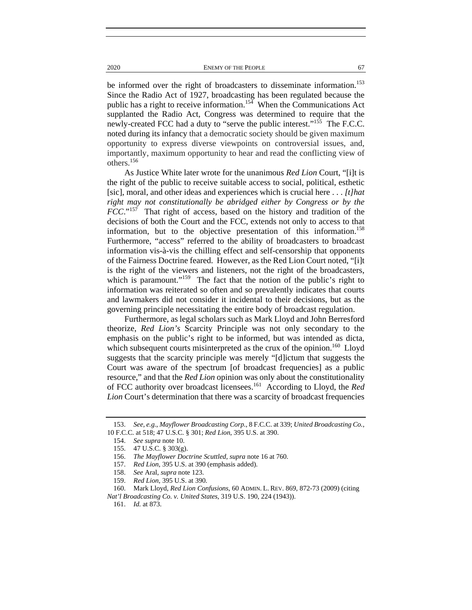2020 ENEMY OF THE PEOPLE 67

be informed over the right of broadcasters to disseminate information.<sup>153</sup> Since the Radio Act of 1927, broadcasting has been regulated because the public has a right to receive information.<sup>154</sup> When the Communications Act supplanted the Radio Act, Congress was determined to require that the newly-created FCC had a duty to "serve the public interest."<sup>155</sup> The F.C.C. noted during its infancy that a democratic society should be given maximum opportunity to express diverse viewpoints on controversial issues, and, importantly, maximum opportunity to hear and read the conflicting view of others.<sup>156</sup>

As Justice White later wrote for the unanimous *Red Lion* Court, "[i]t is the right of the public to receive suitable access to social, political, esthetic [sic], moral, and other ideas and experiences which is crucial here . . . *[t]hat right may not constitutionally be abridged either by Congress or by the FCC*."157 That right of access, based on the history and tradition of the decisions of both the Court and the FCC, extends not only to access to that information, but to the objective presentation of this information.<sup>158</sup> Furthermore, "access" referred to the ability of broadcasters to broadcast information vis-à-vis the chilling effect and self-censorship that opponents of the Fairness Doctrine feared. However, as the Red Lion Court noted, "[i]t is the right of the viewers and listeners, not the right of the broadcasters, which is paramount."<sup>159</sup> The fact that the notion of the public's right to information was reiterated so often and so prevalently indicates that courts and lawmakers did not consider it incidental to their decisions, but as the governing principle necessitating the entire body of broadcast regulation.

Furthermore, as legal scholars such as Mark Lloyd and John Berresford theorize, *Red Lion's* Scarcity Principle was not only secondary to the emphasis on the public's right to be informed, but was intended as dicta, which subsequent courts misinterpreted as the crux of the opinion.<sup>160</sup> Lloyd suggests that the scarcity principle was merely "[d]ictum that suggests the Court was aware of the spectrum [of broadcast frequencies] as a public resource," and that the *Red Lion* opinion was only about the constitutionality of FCC authority over broadcast licensees.161 According to Lloyd, the *Red Lion* Court's determination that there was a scarcity of broadcast frequencies

 <sup>153.</sup> *See, e.g.*, *Mayflower Broadcasting Corp.*, 8 F.C.C. at 339; *United Broadcasting Co.*, 10 F.C.C. at 518; 47 U.S.C. § 301; *Red Lion*, 395 U.S. at 390.

 <sup>154.</sup> *See supra* note 10.

 <sup>155. 47</sup> U.S.C. § 303(g).

 <sup>156.</sup> *The Mayflower Doctrine Scuttled*, *supra* note 16 at 760.

 <sup>157.</sup> *Red Lion*, 395 U.S. at 390 (emphasis added).

 <sup>158.</sup> *See* Aral, *supra* note 123.

 <sup>159.</sup> *Red Lion*, 395 U.S. at 390.

 <sup>160.</sup> Mark Lloyd, *Red Lion Confusions*, 60 ADMIN. L. REV. 869, 872-73 (2009) (citing *Nat'l Broadcasting Co. v. United States*, 319 U.S. 190, 224 (1943)).

 <sup>161.</sup> *Id.* at 873.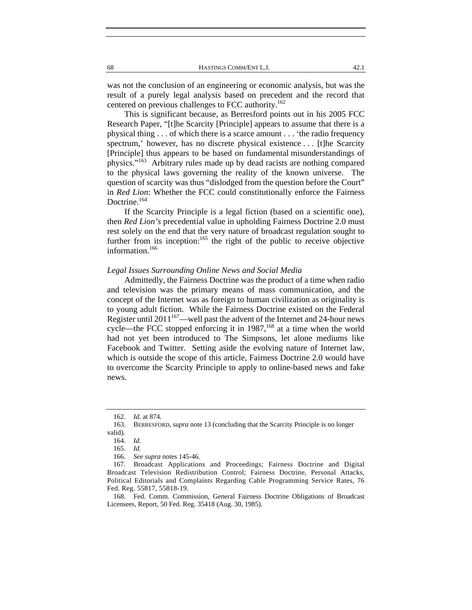was not the conclusion of an engineering or economic analysis, but was the result of a purely legal analysis based on precedent and the record that centered on previous challenges to FCC authority.<sup>162</sup>

This is significant because, as Berresford points out in his 2005 FCC Research Paper, "[t]he Scarcity [Principle] appears to assume that there is a physical thing . . . of which there is a scarce amount . . . 'the radio frequency spectrum,' however, has no discrete physical existence . . . [t]he Scarcity [Principle] thus appears to be based on fundamental misunderstandings of physics."163 Arbitrary rules made up by dead racists are nothing compared to the physical laws governing the reality of the known universe. The question of scarcity was thus "dislodged from the question before the Court" in *Red Lion*: Whether the FCC could constitutionally enforce the Fairness Doctrine.<sup>164</sup>

If the Scarcity Principle is a legal fiction (based on a scientific one), then *Red Lion's* precedential value in upholding Fairness Doctrine 2.0 must rest solely on the end that the very nature of broadcast regulation sought to further from its inception: $165$  the right of the public to receive objective information.<sup>166</sup>

## *Legal Issues Surrounding Online News and Social Media*

Admittedly, the Fairness Doctrine was the product of a time when radio and television was the primary means of mass communication, and the concept of the Internet was as foreign to human civilization as originality is to young adult fiction. While the Fairness Doctrine existed on the Federal Register until 2011<sup>167</sup>—well past the advent of the Internet and 24-hour news cycle—the FCC stopped enforcing it in  $1987$ ,<sup>168</sup> at a time when the world had not yet been introduced to The Simpsons, let alone mediums like Facebook and Twitter. Setting aside the evolving nature of Internet law, which is outside the scope of this article, Fairness Doctrine 2.0 would have to overcome the Scarcity Principle to apply to online-based news and fake news.

 <sup>162.</sup> *Id.* at 874.

 <sup>163.</sup> BERRESFORD, *supra* note 13 (concluding that the Scarcity Principle is no longer valid).

 <sup>164.</sup> *Id.*

 <sup>165.</sup> *Id.*

 <sup>166.</sup> *See supra* notes 145-46*.*

 <sup>167.</sup> Broadcast Applications and Proceedings; Fairness Doctrine and Digital Broadcast Television Redistribution Control; Fairness Doctrine, Personal Attacks, Political Editorials and Complaints Regarding Cable Programming Service Rates, 76 Fed. Reg. 55817, 55818-19.

 <sup>168.</sup> Fed. Comm. Commission, General Fairness Doctrine Obligations of Broadcast Licensees, Report, 50 Fed. Reg. 35418 (Aug. 30, 1985).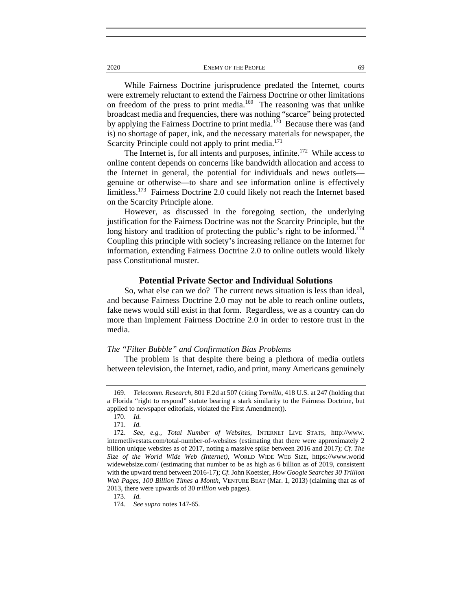2020 ENEMY OF THE PEOPLE 69

While Fairness Doctrine jurisprudence predated the Internet, courts were extremely reluctant to extend the Fairness Doctrine or other limitations on freedom of the press to print media.<sup>169</sup> The reasoning was that unlike broadcast media and frequencies, there was nothing "scarce" being protected by applying the Fairness Doctrine to print media.<sup>170</sup> Because there was (and is) no shortage of paper, ink, and the necessary materials for newspaper, the Scarcity Principle could not apply to print media.<sup>171</sup>

The Internet is, for all intents and purposes, infinite.<sup>172</sup> While access to online content depends on concerns like bandwidth allocation and access to the Internet in general, the potential for individuals and news outlets genuine or otherwise—to share and see information online is effectively limitless.<sup>173</sup> Fairness Doctrine 2.0 could likely not reach the Internet based on the Scarcity Principle alone.

However, as discussed in the foregoing section, the underlying justification for the Fairness Doctrine was not the Scarcity Principle, but the long history and tradition of protecting the public's right to be informed.<sup>174</sup> Coupling this principle with society's increasing reliance on the Internet for information, extending Fairness Doctrine 2.0 to online outlets would likely pass Constitutional muster.

#### **Potential Private Sector and Individual Solutions**

So, what else can we do? The current news situation is less than ideal, and because Fairness Doctrine 2.0 may not be able to reach online outlets, fake news would still exist in that form. Regardless, we as a country can do more than implement Fairness Doctrine 2.0 in order to restore trust in the media.

## *The "Filter Bubble" and Confirmation Bias Problems*

The problem is that despite there being a plethora of media outlets between television, the Internet, radio, and print, many Americans genuinely

173. *Id.*

 <sup>169.</sup> *Telecomm. Research*, 801 F.2d at 507 (citing *Tornillo*, 418 U.S. at 247 (holding that a Florida "right to respond" statute bearing a stark similarity to the Fairness Doctrine, but applied to newspaper editorials, violated the First Amendment)).

 <sup>170.</sup> *Id.*

 <sup>171.</sup> *Id.*

 <sup>172.</sup> *See, e.g., Total Number of Websites*, INTERNET LIVE STATS, http://www. internetlivestats.com/total-number-of-websites (estimating that there were approximately 2 billion unique websites as of 2017, noting a massive spike between 2016 and 2017); *Cf. The Size of the World Wide Web (Internet)*, WORLD WIDE WEB SIZE, https://www.world widewebsize.com/ (estimating that number to be as high as 6 billion as of 2019, consistent with the upward trend between 2016-17); *Cf.* John Koetsier, *How Google Searches 30 Trillion Web Pages, 100 Billion Times a Month*, VENTURE BEAT (Mar. 1, 2013) (claiming that as of 2013, there were upwards of 30 *trillion* web pages).

 <sup>174.</sup> *See supra* notes 147-65*.*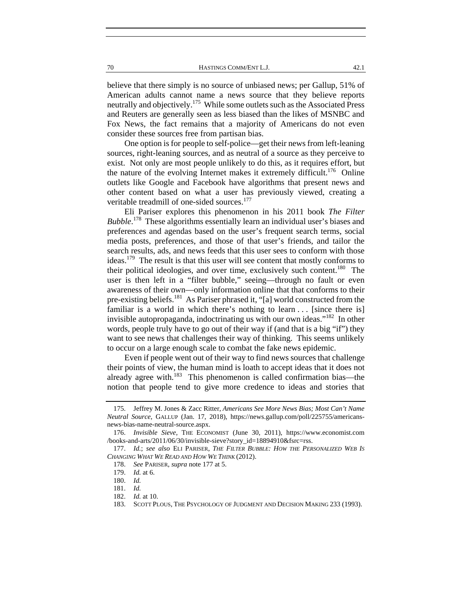70 HASTINGS COMM/ENT L.J. 42.1

believe that there simply is no source of unbiased news; per Gallup, 51% of American adults cannot name a news source that they believe reports neutrally and objectively.<sup>175</sup> While some outlets such as the Associated Press and Reuters are generally seen as less biased than the likes of MSNBC and Fox News, the fact remains that a majority of Americans do not even consider these sources free from partisan bias.

One option is for people to self-police—get their news from left-leaning sources, right-leaning sources, and as neutral of a source as they perceive to exist. Not only are most people unlikely to do this, as it requires effort, but the nature of the evolving Internet makes it extremely difficult.<sup>176</sup> Online outlets like Google and Facebook have algorithms that present news and other content based on what a user has previously viewed, creating a veritable treadmill of one-sided sources.<sup>177</sup>

Eli Pariser explores this phenomenon in his 2011 book *The Filter Bubble*. 178 These algorithms essentially learn an individual user's biases and preferences and agendas based on the user's frequent search terms, social media posts, preferences, and those of that user's friends, and tailor the search results, ads, and news feeds that this user sees to conform with those ideas.179 The result is that this user will see content that mostly conforms to their political ideologies, and over time, exclusively such content.<sup>180</sup> The user is then left in a "filter bubble," seeing—through no fault or even awareness of their own—only information online that that conforms to their pre-existing beliefs.<sup>181</sup> As Pariser phrased it, "[a] world constructed from the familiar is a world in which there's nothing to learn  $\ldots$  [since there is] invisible autopropaganda, indoctrinating us with our own ideas."182 In other words, people truly have to go out of their way if (and that is a big "if") they want to see news that challenges their way of thinking. This seems unlikely to occur on a large enough scale to combat the fake news epidemic.

Even if people went out of their way to find news sources that challenge their points of view, the human mind is loath to accept ideas that it does not already agree with.<sup>183</sup> This phenomenon is called confirmation bias—the notion that people tend to give more credence to ideas and stories that

 <sup>175.</sup> Jeffrey M. Jones & Zacc Ritter, *Americans See More News Bias; Most Can't Name Neutral Source*, GALLUP (Jan. 17, 2018), https://news.gallup.com/poll/225755/americansnews-bias-name-neutral-source.aspx.

 <sup>176.</sup> *Invisible Sieve*, THE ECONOMIST (June 30, 2011), https://www.economist.com /books-and-arts/2011/06/30/invisible-sieve?story\_id=18894910&fsrc=rss.

 <sup>177.</sup> *Id.*; *see also* ELI PARISER, *THE FILTER BUBBLE: HOW THE PERSONALIZED WEB IS CHANGING WHAT WE READ AND HOW WE THINK* (2012).

 <sup>178.</sup> *See* PARISER, *supra* note 177 at 5.

 <sup>179.</sup> *Id.* at 6.

 <sup>180.</sup> *Id.*

 <sup>181.</sup> *Id.*

 <sup>182.</sup> *Id.* at 10.

 <sup>183.</sup> SCOTT PLOUS, THE PSYCHOLOGY OF JUDGMENT AND DECISION MAKING 233 (1993).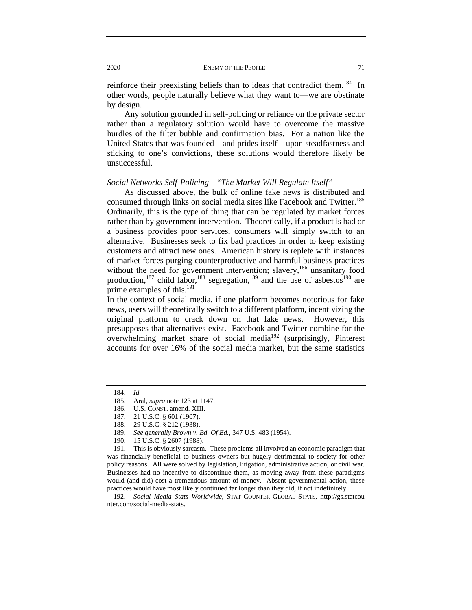reinforce their preexisting beliefs than to ideas that contradict them.<sup>184</sup> In other words, people naturally believe what they want to—we are obstinate by design.

Any solution grounded in self-policing or reliance on the private sector rather than a regulatory solution would have to overcome the massive hurdles of the filter bubble and confirmation bias. For a nation like the United States that was founded—and prides itself—upon steadfastness and sticking to one's convictions, these solutions would therefore likely be unsuccessful.

## *Social Networks Self-Policing—"The Market Will Regulate Itself"*

As discussed above, the bulk of online fake news is distributed and consumed through links on social media sites like Facebook and Twitter.<sup>185</sup> Ordinarily, this is the type of thing that can be regulated by market forces rather than by government intervention. Theoretically, if a product is bad or a business provides poor services, consumers will simply switch to an alternative. Businesses seek to fix bad practices in order to keep existing customers and attract new ones. American history is replete with instances of market forces purging counterproductive and harmful business practices without the need for government intervention; slavery,<sup>186</sup> unsanitary food production,<sup>187</sup> child labor,<sup>188</sup> segregation,<sup>189</sup> and the use of asbestos<sup>190</sup> are prime examples of this.<sup>191</sup>

In the context of social media, if one platform becomes notorious for fake news, users will theoretically switch to a different platform, incentivizing the original platform to crack down on that fake news. However, this presupposes that alternatives exist. Facebook and Twitter combine for the overwhelming market share of social media<sup>192</sup> (surprisingly, Pinterest accounts for over 16% of the social media market, but the same statistics

 192. *Social Media Stats Worldwide*, STAT COUNTER GLOBAL STATS, http://gs.statcou nter.com/social-media-stats.

 <sup>184.</sup> *Id.*

 <sup>185.</sup> Aral, *supra* note 123 at 1147.

 <sup>186.</sup> U.S. CONST. amend. XIII.

 <sup>187. 21</sup> U.S.C. § 601 (1907).

 <sup>188. 29</sup> U.S.C. § 212 (1938).

 <sup>189.</sup> *See generally Brown v. Bd. Of Ed.*, 347 U.S. 483 (1954).

 <sup>190. 15</sup> U.S.C. § 2607 (1988).

 <sup>191.</sup> This is obviously sarcasm. These problems all involved an economic paradigm that was financially beneficial to business owners but hugely detrimental to society for other policy reasons. All were solved by legislation, litigation, administrative action, or civil war. Businesses had no incentive to discontinue them, as moving away from these paradigms would (and did) cost a tremendous amount of money. Absent governmental action, these practices would have most likely continued far longer than they did, if not indefinitely.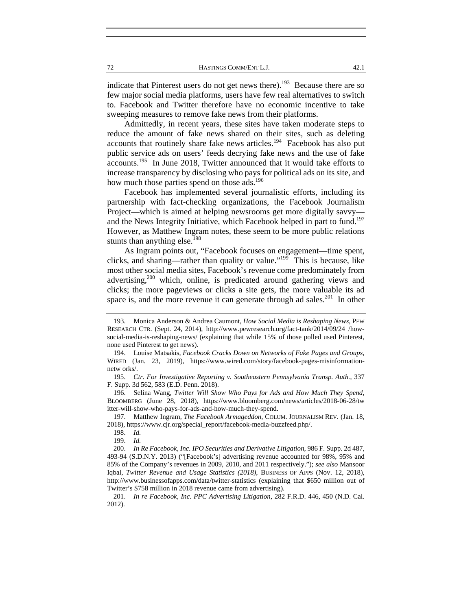indicate that Pinterest users do not get news there).<sup>193</sup> Because there are so few major social media platforms, users have few real alternatives to switch to. Facebook and Twitter therefore have no economic incentive to take sweeping measures to remove fake news from their platforms.

Admittedly, in recent years, these sites have taken moderate steps to reduce the amount of fake news shared on their sites, such as deleting accounts that routinely share fake news articles.<sup>194</sup> Facebook has also put public service ads on users' feeds decrying fake news and the use of fake accounts.195 In June 2018, Twitter announced that it would take efforts to increase transparency by disclosing who pays for political ads on its site, and how much those parties spend on those ads.<sup>196</sup>

Facebook has implemented several journalistic efforts, including its partnership with fact-checking organizations, the Facebook Journalism Project—which is aimed at helping newsrooms get more digitally savvy and the News Integrity Initiative, which Facebook helped in part to fund.<sup>197</sup> However, as Matthew Ingram notes, these seem to be more public relations stunts than anything else.<sup>198</sup>

As Ingram points out, "Facebook focuses on engagement—time spent, clicks, and sharing—rather than quality or value."199 This is because, like most other social media sites, Facebook's revenue come predominately from advertising, $200$  which, online, is predicated around gathering views and clicks; the more pageviews or clicks a site gets, the more valuable its ad space is, and the more revenue it can generate through ad sales.<sup>201</sup> In other

 <sup>193.</sup> Monica Anderson & Andrea Caumont, *How Social Media is Reshaping News*, PEW RESEARCH CTR. (Sept. 24, 2014), http://www.pewresearch.org/fact-tank/2014/09/24 /howsocial-media-is-reshaping-news/ (explaining that while 15% of those polled used Pinterest, none used Pinterest to get news).

 <sup>194.</sup> Louise Matsakis, *Facebook Cracks Down on Networks of Fake Pages and Groups*, WIRED (Jan. 23, 2019), https://www.wired.com/story/facebook-pages-misinformationnetw orks/.

 <sup>195.</sup> *Ctr. For Investigative Reporting v. Southeastern Pennsylvania Transp. Auth.*, 337 F. Supp. 3d 562, 583 (E.D. Penn. 2018).

 <sup>196.</sup> Selina Wang, *Twitter Will Show Who Pays for Ads and How Much They Spend*, BLOOMBERG (June 28, 2018), https://www.bloomberg.com/news/articles/2018-06-28/tw itter-will-show-who-pays-for-ads-and-how-much-they-spend.

 <sup>197.</sup> Matthew Ingram, *The Facebook Armageddon*, COLUM. JOURNALISM REV. (Jan. 18, 2018), https://www.cjr.org/special\_report/facebook-media-buzzfeed.php/.

 <sup>198.</sup> *Id.*

 <sup>199.</sup> *Id.*

 <sup>200.</sup> *In Re Facebook, Inc. IPO Securities and Derivative Litigation*, 986 F. Supp. 2d 487, 493-94 (S.D.N.Y. 2013) ("[Facebook's] advertising revenue accounted for 98%, 95% and 85% of the Company's revenues in 2009, 2010, and 2011 respectively."); *see also* Mansoor Iqbal, *Twitter Revenue and Usage Statistics (2018)*, BUSINESS OF APPS (Nov. 12, 2018), http://www.businessofapps.com/data/twitter-statistics (explaining that \$650 million out of Twitter's \$758 million in 2018 revenue came from advertising).

 <sup>201.</sup> *In re Facebook, Inc. PPC Advertising Litigation*, 282 F.R.D. 446, 450 (N.D. Cal. 2012).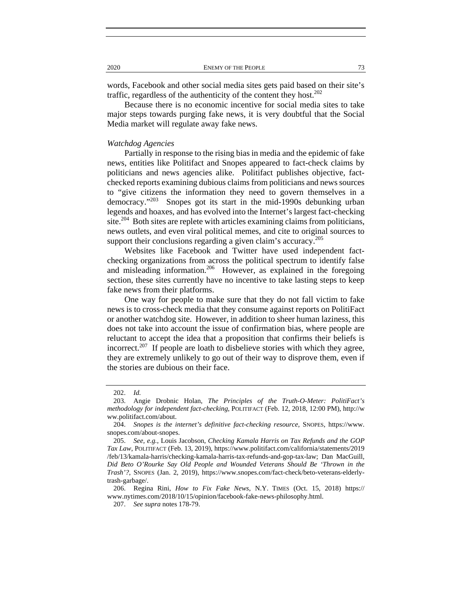words, Facebook and other social media sites gets paid based on their site's traffic, regardless of the authenticity of the content they host. $^{202}$ 

Because there is no economic incentive for social media sites to take major steps towards purging fake news, it is very doubtful that the Social Media market will regulate away fake news.

#### *Watchdog Agencies*

Partially in response to the rising bias in media and the epidemic of fake news, entities like Politifact and Snopes appeared to fact-check claims by politicians and news agencies alike. Politifact publishes objective, factchecked reports examining dubious claims from politicians and news sources to "give citizens the information they need to govern themselves in a democracy."203 Snopes got its start in the mid-1990s debunking urban legends and hoaxes, and has evolved into the Internet's largest fact-checking site.<sup>204</sup> Both sites are replete with articles examining claims from politicians, news outlets, and even viral political memes, and cite to original sources to support their conclusions regarding a given claim's accuracy.<sup>205</sup>

Websites like Facebook and Twitter have used independent factchecking organizations from across the political spectrum to identify false and misleading information.<sup>206</sup> However, as explained in the foregoing section, these sites currently have no incentive to take lasting steps to keep fake news from their platforms.

One way for people to make sure that they do not fall victim to fake news is to cross-check media that they consume against reports on PolitiFact or another watchdog site. However, in addition to sheer human laziness, this does not take into account the issue of confirmation bias, where people are reluctant to accept the idea that a proposition that confirms their beliefs is incorrect.<sup>207</sup> If people are loath to disbelieve stories with which they agree, they are extremely unlikely to go out of their way to disprove them, even if the stories are dubious on their face.

 <sup>202.</sup> *Id.*

 <sup>203.</sup> Angie Drobnic Holan, *The Principles of the Truth-O-Meter: PolitiFact's methodology for independent fact-checking*, POLITIFACT (Feb. 12, 2018, 12:00 PM), http://w ww.politifact.com/about.

 <sup>204.</sup> *Snopes is the internet's definitive fact-checking resource*, SNOPES, https://www. snopes.com/about-snopes.

 <sup>205.</sup> *See, e.g.*, Louis Jacobson, *Checking Kamala Harris on Tax Refunds and the GOP Tax Law*, POLITIFACT (Feb. 13, 2019), https://www.politifact.com/california/statements/2019 /feb/13/kamala-harris/checking-kamala-harris-tax-refunds-and-gop-tax-law; Dan MacGuill, *Did Beto O'Rourke Say Old People and Wounded Veterans Should Be 'Thrown in the Trash'?*, SNOPES (Jan. 2, 2019), https://www.snopes.com/fact-check/beto-veterans-elderlytrash-garbage/.

 <sup>206.</sup> Regina Rini, *How to Fix Fake News*, N.Y. TIMES (Oct. 15, 2018) https:// www.nytimes.com/2018/10/15/opinion/facebook-fake-news-philosophy.html.

 <sup>207.</sup> *See supra* notes 178-79.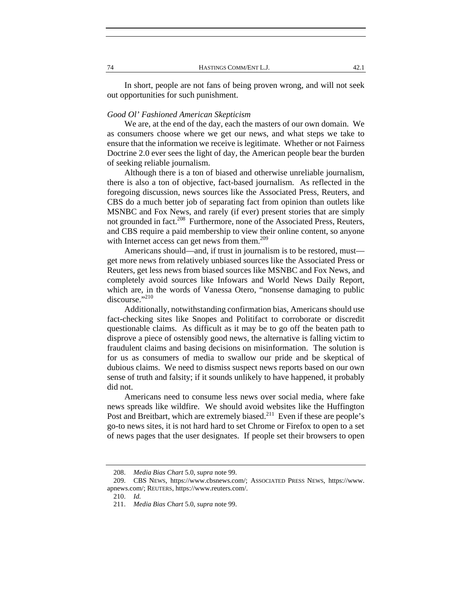In short, people are not fans of being proven wrong, and will not seek out opportunities for such punishment.

## *Good Ol' Fashioned American Skepticism*

We are, at the end of the day, each the masters of our own domain. We as consumers choose where we get our news, and what steps we take to ensure that the information we receive is legitimate. Whether or not Fairness Doctrine 2.0 ever sees the light of day, the American people bear the burden of seeking reliable journalism.

Although there is a ton of biased and otherwise unreliable journalism, there is also a ton of objective, fact-based journalism. As reflected in the foregoing discussion, news sources like the Associated Press, Reuters, and CBS do a much better job of separating fact from opinion than outlets like MSNBC and Fox News, and rarely (if ever) present stories that are simply not grounded in fact.<sup>208</sup> Furthermore, none of the Associated Press, Reuters, and CBS require a paid membership to view their online content, so anyone with Internet access can get news from them.<sup>209</sup>

Americans should—and, if trust in journalism is to be restored, must get more news from relatively unbiased sources like the Associated Press or Reuters, get less news from biased sources like MSNBC and Fox News, and completely avoid sources like Infowars and World News Daily Report, which are, in the words of Vanessa Otero, "nonsense damaging to public discourse."<sup>210</sup>

Additionally, notwithstanding confirmation bias, Americans should use fact-checking sites like Snopes and Politifact to corroborate or discredit questionable claims. As difficult as it may be to go off the beaten path to disprove a piece of ostensibly good news, the alternative is falling victim to fraudulent claims and basing decisions on misinformation. The solution is for us as consumers of media to swallow our pride and be skeptical of dubious claims. We need to dismiss suspect news reports based on our own sense of truth and falsity; if it sounds unlikely to have happened, it probably did not.

Americans need to consume less news over social media, where fake news spreads like wildfire. We should avoid websites like the Huffington Post and Breitbart, which are extremely biased.<sup>211</sup> Even if these are people's go-to news sites, it is not hard hard to set Chrome or Firefox to open to a set of news pages that the user designates. If people set their browsers to open

 <sup>208.</sup> *Media Bias Chart* 5.0, *supra* note 99.

 <sup>209.</sup> CBS NEWS, https://www.cbsnews.com/; ASSOCIATED PRESS NEWS, https://www. apnews.com/; REUTERS, https://www.reuters.com/.

 <sup>210.</sup> *Id.*

 <sup>211.</sup> *Media Bias Chart* 5.0, *supra* note 99.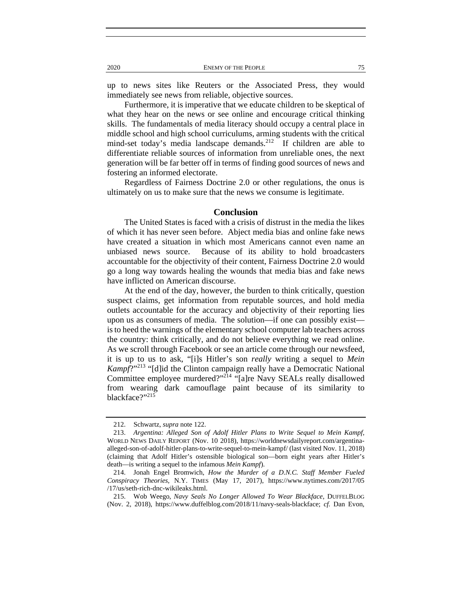up to news sites like Reuters or the Associated Press, they would immediately see news from reliable, objective sources.

Furthermore, it is imperative that we educate children to be skeptical of what they hear on the news or see online and encourage critical thinking skills. The fundamentals of media literacy should occupy a central place in middle school and high school curriculums, arming students with the critical mind-set today's media landscape demands.<sup>212</sup> If children are able to differentiate reliable sources of information from unreliable ones, the next generation will be far better off in terms of finding good sources of news and fostering an informed electorate.

Regardless of Fairness Doctrine 2.0 or other regulations, the onus is ultimately on us to make sure that the news we consume is legitimate.

## **Conclusion**

The United States is faced with a crisis of distrust in the media the likes of which it has never seen before. Abject media bias and online fake news have created a situation in which most Americans cannot even name an unbiased news source. Because of its ability to hold broadcasters accountable for the objectivity of their content, Fairness Doctrine 2.0 would go a long way towards healing the wounds that media bias and fake news have inflicted on American discourse.

At the end of the day, however, the burden to think critically, question suspect claims, get information from reputable sources, and hold media outlets accountable for the accuracy and objectivity of their reporting lies upon us as consumers of media. The solution—if one can possibly exist is to heed the warnings of the elementary school computer lab teachers across the country: think critically, and do not believe everything we read online. As we scroll through Facebook or see an article come through our newsfeed, it is up to us to ask, "[i]s Hitler's son *really* writing a sequel to *Mein Kampf*?"<sup>213</sup> "[d]id the Clinton campaign really have a Democratic National Committee employee murdered?"<sup>214</sup> "[a]re Navy SEALs really disallowed from wearing dark camouflage paint because of its similarity to blackface?"215

 <sup>212.</sup> Schwartz, *supra* note 122.

 <sup>213.</sup> *Argentina: Alleged Son of Adolf Hitler Plans to Write Sequel to Mein Kampf*, WORLD NEWS DAILY REPORT (Nov. 10 2018), https://worldnewsdailyreport.com/argentinaalleged-son-of-adolf-hitler-plans-to-write-sequel-to-mein-kampf/ (last visited Nov. 11, 2018) (claiming that Adolf Hitler's ostensible biological son—born eight years after Hitler's death—is writing a sequel to the infamous *Mein Kampf*).

 <sup>214.</sup> Jonah Engel Bromwich, *How the Murder of a D.N.C. Staff Member Fueled Conspiracy Theories*, N.Y. TIMES (May 17, 2017), https://www.nytimes.com/2017/05 /17/us/seth-rich-dnc-wikileaks.html.

 <sup>215.</sup> Wob Weego, *Navy Seals No Longer Allowed To Wear Blackface*, DUFFELBLOG (Nov. 2, 2018), https://www.duffelblog.com/2018/11/navy-seals-blackface; *cf.* Dan Evon*,*